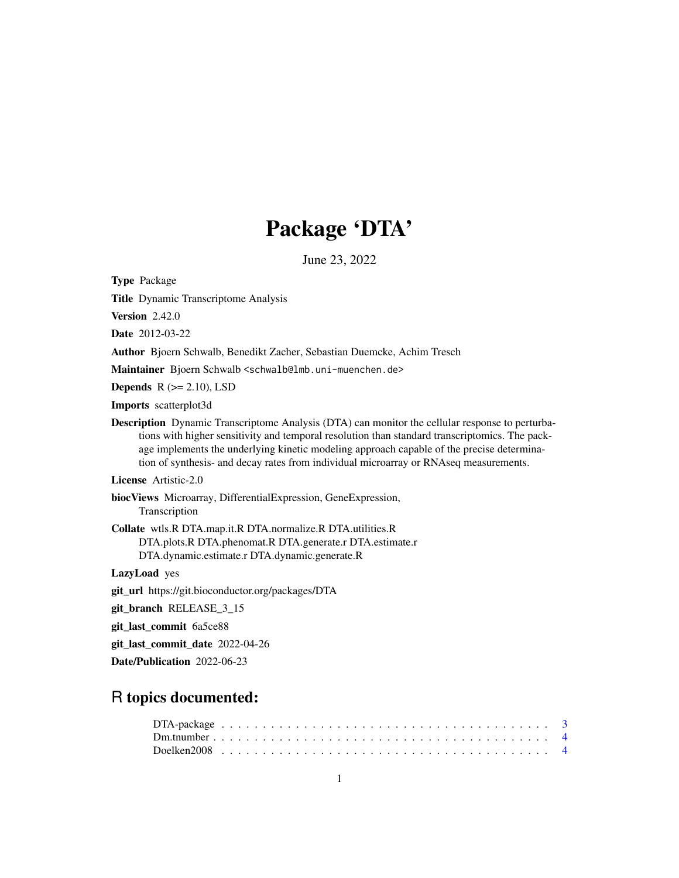# Package 'DTA'

June 23, 2022

<span id="page-0-0"></span>Type Package

Title Dynamic Transcriptome Analysis

Version 2.42.0

Date 2012-03-22

Author Bjoern Schwalb, Benedikt Zacher, Sebastian Duemcke, Achim Tresch

Maintainer Bjoern Schwalb <schwalb@lmb.uni-muenchen.de>

Depends  $R$  ( $>= 2.10$ ), LSD

Imports scatterplot3d

Description Dynamic Transcriptome Analysis (DTA) can monitor the cellular response to perturbations with higher sensitivity and temporal resolution than standard transcriptomics. The package implements the underlying kinetic modeling approach capable of the precise determination of synthesis- and decay rates from individual microarray or RNAseq measurements.

License Artistic-2.0

biocViews Microarray, DifferentialExpression, GeneExpression, Transcription

Collate wtls.R DTA.map.it.R DTA.normalize.R DTA.utilities.R DTA.plots.R DTA.phenomat.R DTA.generate.r DTA.estimate.r DTA.dynamic.estimate.r DTA.dynamic.generate.R

LazyLoad yes

git\_url https://git.bioconductor.org/packages/DTA

git\_branch RELEASE\_3\_15

git\_last\_commit 6a5ce88

git\_last\_commit\_date 2022-04-26

Date/Publication 2022-06-23

# R topics documented: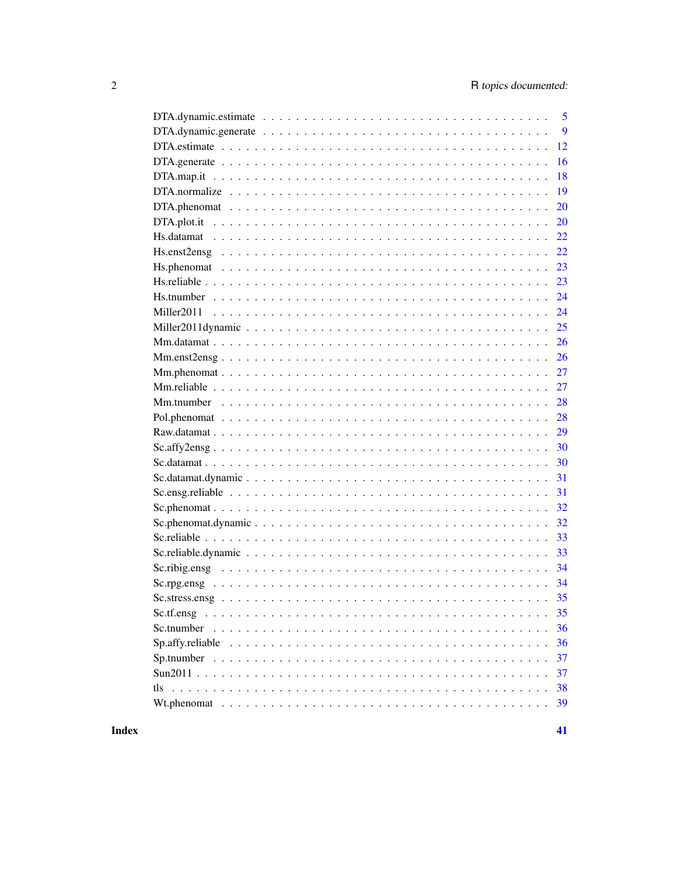|                                                                                                        | $\overline{5}$ |
|--------------------------------------------------------------------------------------------------------|----------------|
|                                                                                                        | 9              |
|                                                                                                        | 12             |
|                                                                                                        | 16             |
|                                                                                                        | 18             |
|                                                                                                        | 19             |
|                                                                                                        | 20             |
|                                                                                                        | 20             |
|                                                                                                        |                |
|                                                                                                        |                |
|                                                                                                        | 23             |
|                                                                                                        |                |
|                                                                                                        |                |
|                                                                                                        |                |
|                                                                                                        | 25             |
|                                                                                                        |                |
|                                                                                                        |                |
|                                                                                                        |                |
|                                                                                                        | 27             |
|                                                                                                        |                |
|                                                                                                        | 28             |
|                                                                                                        | 29             |
| $Sc.$ affy $2ensg \ldots \ldots \ldots \ldots \ldots \ldots \ldots \ldots \ldots \ldots \ldots \ldots$ | 30             |
|                                                                                                        |                |
|                                                                                                        | 31             |
|                                                                                                        |                |
|                                                                                                        |                |
|                                                                                                        |                |
|                                                                                                        |                |
|                                                                                                        | 33             |
|                                                                                                        | 34             |
|                                                                                                        |                |
|                                                                                                        |                |
| Sc.tf.ensg                                                                                             | 35             |
| Sc.tnumber                                                                                             | 36             |
|                                                                                                        | 36             |
|                                                                                                        | 37             |
|                                                                                                        | 37             |
|                                                                                                        | 38             |
|                                                                                                        | 39             |
|                                                                                                        |                |

# **Index**

 $41$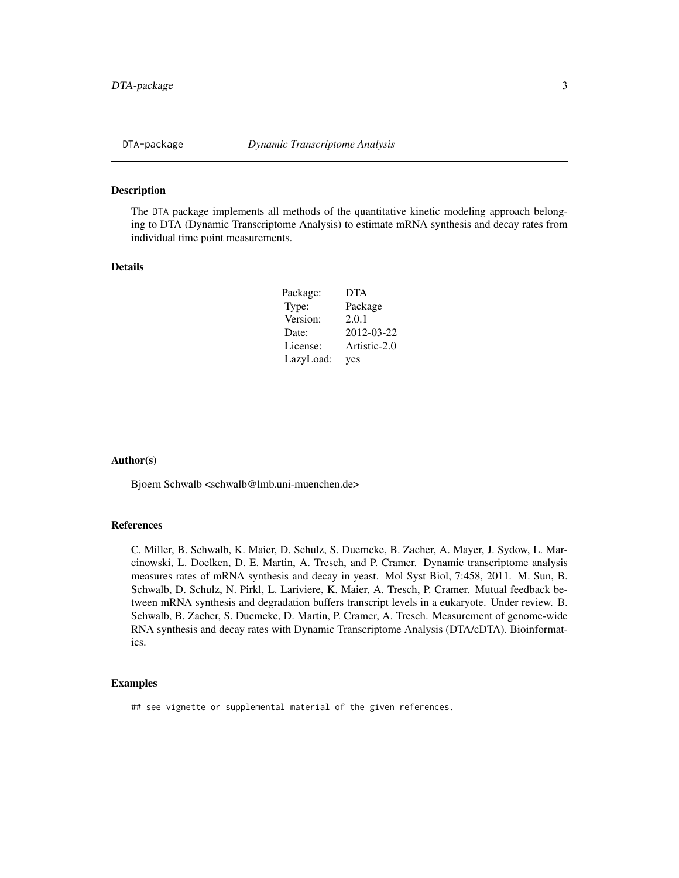<span id="page-2-0"></span>

The DTA package implements all methods of the quantitative kinetic modeling approach belonging to DTA (Dynamic Transcriptome Analysis) to estimate mRNA synthesis and decay rates from individual time point measurements.

# Details

| Package:  | <b>DTA</b>   |
|-----------|--------------|
| Type:     | Package      |
| Version:  | 2.0.1        |
| Date:     | 2012-03-22   |
| License:  | Artistic-2.0 |
| LazyLoad: | yes          |

#### Author(s)

Bjoern Schwalb <schwalb@lmb.uni-muenchen.de>

# References

C. Miller, B. Schwalb, K. Maier, D. Schulz, S. Duemcke, B. Zacher, A. Mayer, J. Sydow, L. Marcinowski, L. Doelken, D. E. Martin, A. Tresch, and P. Cramer. Dynamic transcriptome analysis measures rates of mRNA synthesis and decay in yeast. Mol Syst Biol, 7:458, 2011. M. Sun, B. Schwalb, D. Schulz, N. Pirkl, L. Lariviere, K. Maier, A. Tresch, P. Cramer. Mutual feedback between mRNA synthesis and degradation buffers transcript levels in a eukaryote. Under review. B. Schwalb, B. Zacher, S. Duemcke, D. Martin, P. Cramer, A. Tresch. Measurement of genome-wide RNA synthesis and decay rates with Dynamic Transcriptome Analysis (DTA/cDTA). Bioinformatics.

# Examples

## see vignette or supplemental material of the given references.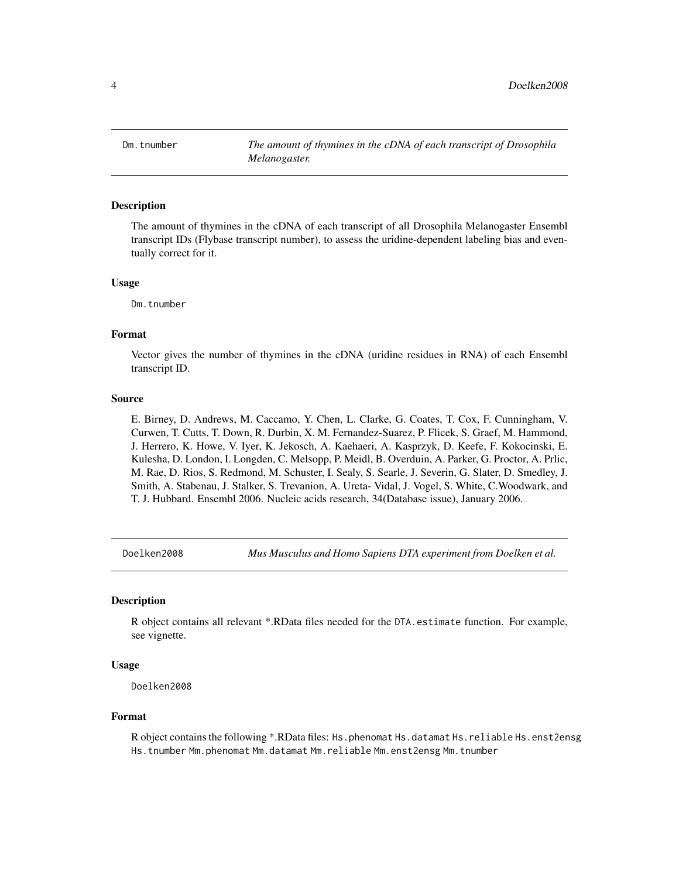<span id="page-3-0"></span>Dm.tnumber *The amount of thymines in the cDNA of each transcript of Drosophila Melanogaster.*

#### Description

The amount of thymines in the cDNA of each transcript of all Drosophila Melanogaster Ensembl transcript IDs (Flybase transcript number), to assess the uridine-dependent labeling bias and eventually correct for it.

#### Usage

Dm.tnumber

## Format

Vector gives the number of thymines in the cDNA (uridine residues in RNA) of each Ensembl transcript ID.

#### Source

E. Birney, D. Andrews, M. Caccamo, Y. Chen, L. Clarke, G. Coates, T. Cox, F. Cunningham, V. Curwen, T. Cutts, T. Down, R. Durbin, X. M. Fernandez-Suarez, P. Flicek, S. Graef, M. Hammond, J. Herrero, K. Howe, V. Iyer, K. Jekosch, A. Kaehaeri, A. Kasprzyk, D. Keefe, F. Kokocinski, E. Kulesha, D. London, I. Longden, C. Melsopp, P. Meidl, B. Overduin, A. Parker, G. Proctor, A. Prlic, M. Rae, D. Rios, S. Redmond, M. Schuster, I. Sealy, S. Searle, J. Severin, G. Slater, D. Smedley, J. Smith, A. Stabenau, J. Stalker, S. Trevanion, A. Ureta- Vidal, J. Vogel, S. White, C.Woodwark, and T. J. Hubbard. Ensembl 2006. Nucleic acids research, 34(Database issue), January 2006.

Doelken2008 *Mus Musculus and Homo Sapiens DTA experiment from Doelken et al.*

# **Description**

R object contains all relevant \*.RData files needed for the DTA.estimate function. For example, see vignette.

#### Usage

Doelken2008

#### Format

R object contains the following \*.RData files: Hs.phenomat Hs.datamat Hs.reliable Hs.enst2ensg Hs.tnumber Mm.phenomat Mm.datamat Mm.reliable Mm.enst2ensg Mm.tnumber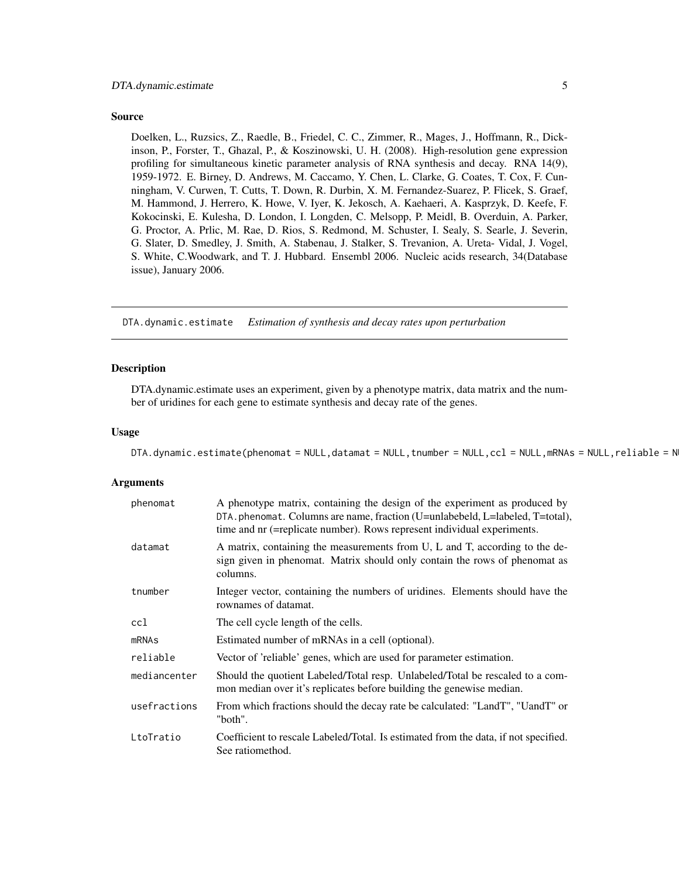#### <span id="page-4-0"></span>Source

Doelken, L., Ruzsics, Z., Raedle, B., Friedel, C. C., Zimmer, R., Mages, J., Hoffmann, R., Dickinson, P., Forster, T., Ghazal, P., & Koszinowski, U. H. (2008). High-resolution gene expression profiling for simultaneous kinetic parameter analysis of RNA synthesis and decay. RNA 14(9), 1959-1972. E. Birney, D. Andrews, M. Caccamo, Y. Chen, L. Clarke, G. Coates, T. Cox, F. Cunningham, V. Curwen, T. Cutts, T. Down, R. Durbin, X. M. Fernandez-Suarez, P. Flicek, S. Graef, M. Hammond, J. Herrero, K. Howe, V. Iyer, K. Jekosch, A. Kaehaeri, A. Kasprzyk, D. Keefe, F. Kokocinski, E. Kulesha, D. London, I. Longden, C. Melsopp, P. Meidl, B. Overduin, A. Parker, G. Proctor, A. Prlic, M. Rae, D. Rios, S. Redmond, M. Schuster, I. Sealy, S. Searle, J. Severin, G. Slater, D. Smedley, J. Smith, A. Stabenau, J. Stalker, S. Trevanion, A. Ureta- Vidal, J. Vogel, S. White, C.Woodwark, and T. J. Hubbard. Ensembl 2006. Nucleic acids research, 34(Database issue), January 2006.

DTA.dynamic.estimate *Estimation of synthesis and decay rates upon perturbation*

#### Description

DTA.dynamic.estimate uses an experiment, given by a phenotype matrix, data matrix and the number of uridines for each gene to estimate synthesis and decay rate of the genes.

# Usage

```
DTA.dynamic.estimate(phenomat = NULL,datamat = NULL,tnumber = NULL,ccl = NULL,mRNAs = NULL,reliable = N
```
#### Arguments

| phenomat     | A phenotype matrix, containing the design of the experiment as produced by<br>DTA.phenomat. Columns are name, fraction (U=unlabebeld, L=labeled, T=total),<br>time and nr (=replicate number). Rows represent individual experiments. |
|--------------|---------------------------------------------------------------------------------------------------------------------------------------------------------------------------------------------------------------------------------------|
| datamat      | A matrix, containing the measurements from U, L and T, according to the de-<br>sign given in phenomat. Matrix should only contain the rows of phenomat as<br>columns.                                                                 |
| tnumber      | Integer vector, containing the numbers of uridines. Elements should have the<br>rownames of datamat.                                                                                                                                  |
| ccl          | The cell cycle length of the cells.                                                                                                                                                                                                   |
| mRNAs        | Estimated number of mRNAs in a cell (optional).                                                                                                                                                                                       |
| reliable     | Vector of 'reliable' genes, which are used for parameter estimation.                                                                                                                                                                  |
| mediancenter | Should the quotient Labeled/Total resp. Unlabeled/Total be rescaled to a com-<br>mon median over it's replicates before building the genewise median.                                                                                 |
| usefractions | From which fractions should the decay rate be calculated: "LandT", "UandT" or<br>"both".                                                                                                                                              |
| LtoTratio    | Coefficient to rescale Labeled/Total. Is estimated from the data, if not specified.<br>See ratiomethod.                                                                                                                               |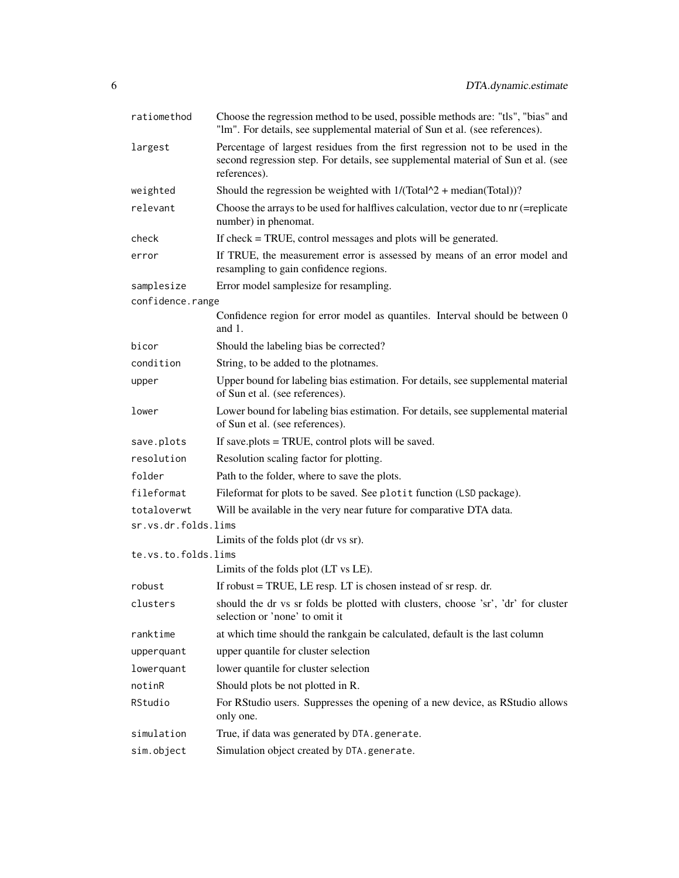| ratiomethod         | Choose the regression method to be used, possible methods are: "tls", "bias" and<br>"lm". For details, see supplemental material of Sun et al. (see references).                    |
|---------------------|-------------------------------------------------------------------------------------------------------------------------------------------------------------------------------------|
| largest             | Percentage of largest residues from the first regression not to be used in the<br>second regression step. For details, see supplemental material of Sun et al. (see<br>references). |
| weighted            | Should the regression be weighted with $1/(\text{Total}^2 + \text{median}(\text{Total}))$ ?                                                                                         |
| relevant            | Choose the arrays to be used for halflives calculation, vector due to nr (=replicate<br>number) in phenomat.                                                                        |
| check               | If check = TRUE, control messages and plots will be generated.                                                                                                                      |
| error               | If TRUE, the measurement error is assessed by means of an error model and<br>resampling to gain confidence regions.                                                                 |
| samplesize          | Error model samplesize for resampling.                                                                                                                                              |
| confidence.range    |                                                                                                                                                                                     |
|                     | Confidence region for error model as quantiles. Interval should be between 0<br>and $1$ .                                                                                           |
| bicor               | Should the labeling bias be corrected?                                                                                                                                              |
| condition           | String, to be added to the plotnames.                                                                                                                                               |
| upper               | Upper bound for labeling bias estimation. For details, see supplemental material<br>of Sun et al. (see references).                                                                 |
| lower               | Lower bound for labeling bias estimation. For details, see supplemental material<br>of Sun et al. (see references).                                                                 |
| save.plots          | If save.plots = TRUE, control plots will be saved.                                                                                                                                  |
| resolution          | Resolution scaling factor for plotting.                                                                                                                                             |
| folder              | Path to the folder, where to save the plots.                                                                                                                                        |
| fileformat          | Fileformat for plots to be saved. See plotit function (LSD package).                                                                                                                |
| totaloverwt         | Will be available in the very near future for comparative DTA data.                                                                                                                 |
| sr.vs.dr.folds.lims |                                                                                                                                                                                     |
|                     | Limits of the folds plot (dr vs sr).                                                                                                                                                |
| te.vs.to.folds.lims |                                                                                                                                                                                     |
|                     | Limits of the folds plot (LT vs LE).                                                                                                                                                |
| robust              | If robust $=$ TRUE, LE resp. LT is chosen instead of sr resp. dr.                                                                                                                   |
| clusters            | should the dr vs sr folds be plotted with clusters, choose 'sr', 'dr' for cluster<br>selection or 'none' to omit it                                                                 |
| ranktime            | at which time should the rankgain be calculated, default is the last column                                                                                                         |
| upperquant          | upper quantile for cluster selection                                                                                                                                                |
| lowerquant          | lower quantile for cluster selection                                                                                                                                                |
| notinR              | Should plots be not plotted in R.                                                                                                                                                   |
| RStudio             | For RStudio users. Suppresses the opening of a new device, as RStudio allows<br>only one.                                                                                           |
| simulation          | True, if data was generated by DTA.generate.                                                                                                                                        |
| sim.object          | Simulation object created by DTA.generate.                                                                                                                                          |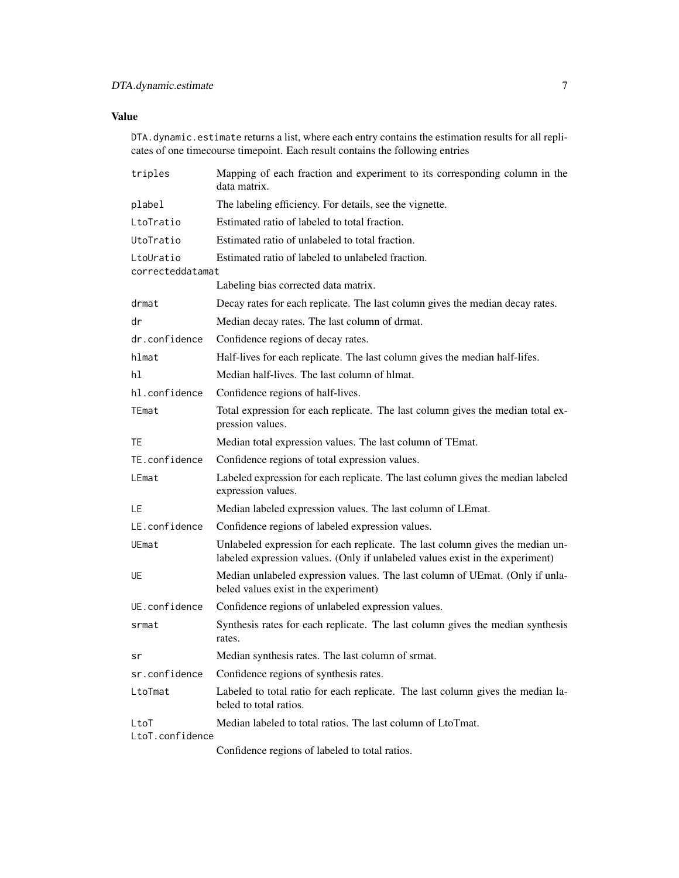# Value

DTA.dynamic.estimate returns a list, where each entry contains the estimation results for all replicates of one timecourse timepoint. Each result contains the following entries

| triples                       | Mapping of each fraction and experiment to its corresponding column in the<br>data matrix.                                                                     |
|-------------------------------|----------------------------------------------------------------------------------------------------------------------------------------------------------------|
| plabel                        | The labeling efficiency. For details, see the vignette.                                                                                                        |
| LtoTratio                     | Estimated ratio of labeled to total fraction.                                                                                                                  |
| UtoTratio                     | Estimated ratio of unlabeled to total fraction.                                                                                                                |
| LtoUratio<br>correcteddatamat | Estimated ratio of labeled to unlabeled fraction.                                                                                                              |
|                               | Labeling bias corrected data matrix.                                                                                                                           |
| drmat                         | Decay rates for each replicate. The last column gives the median decay rates.                                                                                  |
| dr                            | Median decay rates. The last column of drmat.                                                                                                                  |
| dr.confidence                 | Confidence regions of decay rates.                                                                                                                             |
| hlmat                         | Half-lives for each replicate. The last column gives the median half-lifes.                                                                                    |
| hl                            | Median half-lives. The last column of hlmat.                                                                                                                   |
| hl.confidence                 | Confidence regions of half-lives.                                                                                                                              |
| TEmat                         | Total expression for each replicate. The last column gives the median total ex-<br>pression values.                                                            |
| TE                            | Median total expression values. The last column of TEmat.                                                                                                      |
| TE.confidence                 | Confidence regions of total expression values.                                                                                                                 |
| LEmat                         | Labeled expression for each replicate. The last column gives the median labeled<br>expression values.                                                          |
| LE                            | Median labeled expression values. The last column of LEmat.                                                                                                    |
| LE.confidence                 | Confidence regions of labeled expression values.                                                                                                               |
| UEmat                         | Unlabeled expression for each replicate. The last column gives the median un-<br>labeled expression values. (Only if unlabeled values exist in the experiment) |
| UE.                           | Median unlabeled expression values. The last column of UEmat. (Only if unla-<br>beled values exist in the experiment)                                          |
| UE.confidence                 | Confidence regions of unlabeled expression values.                                                                                                             |
| srmat                         | Synthesis rates for each replicate. The last column gives the median synthesis<br>rates.                                                                       |
| sr                            | Median synthesis rates. The last column of srmat.                                                                                                              |
| sr.confidence                 | Confidence regions of synthesis rates.                                                                                                                         |
| LtoTmat                       | Labeled to total ratio for each replicate. The last column gives the median la-<br>beled to total ratios.                                                      |
| LtoT                          | Median labeled to total ratios. The last column of LtoTmat.                                                                                                    |
| LtoT.confidence               |                                                                                                                                                                |
|                               | Confidence regions of labeled to total ratios.                                                                                                                 |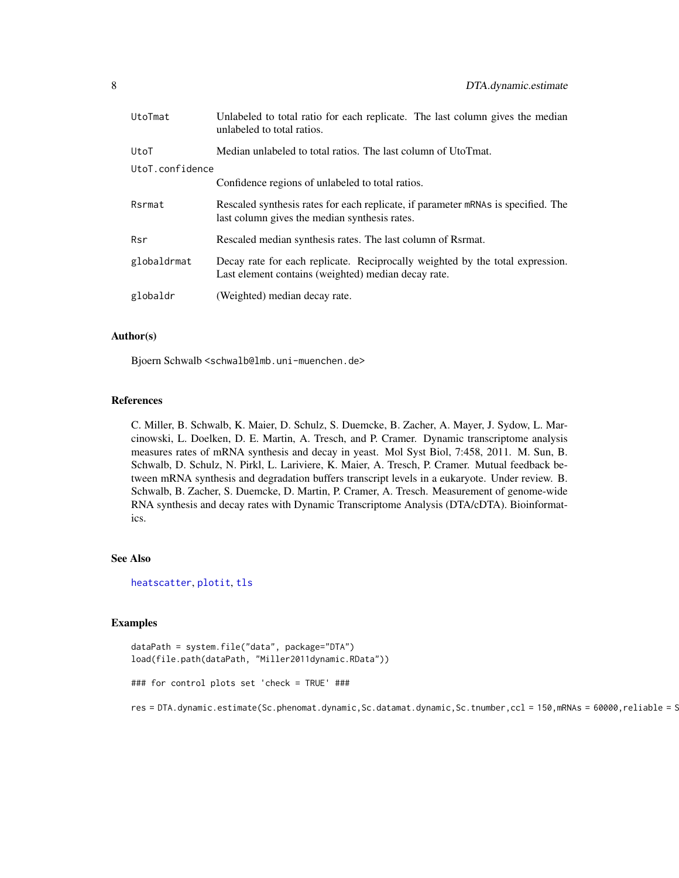<span id="page-7-0"></span>

| UtoTmat         | Unlabeled to total ratio for each replicate. The last column gives the median<br>unlabeled to total ratios.                          |  |  |  |  |  |
|-----------------|--------------------------------------------------------------------------------------------------------------------------------------|--|--|--|--|--|
| UtoT            | Median unlabeled to total ratios. The last column of UtoTmat.                                                                        |  |  |  |  |  |
| UtoT.confidence |                                                                                                                                      |  |  |  |  |  |
|                 | Confidence regions of unlabeled to total ratios.                                                                                     |  |  |  |  |  |
| Rsrmat          | Rescaled synthesis rates for each replicate, if parameter mRNAs is specified. The<br>last column gives the median synthesis rates.   |  |  |  |  |  |
| Rsr             | Rescaled median synthesis rates. The last column of Rsrmat.                                                                          |  |  |  |  |  |
| globaldrmat     | Decay rate for each replicate. Reciprocally weighted by the total expression.<br>Last element contains (weighted) median decay rate. |  |  |  |  |  |
| globaldr        | (Weighted) median decay rate.                                                                                                        |  |  |  |  |  |

# Author(s)

Bjoern Schwalb <schwalb@lmb.uni-muenchen.de>

#### References

C. Miller, B. Schwalb, K. Maier, D. Schulz, S. Duemcke, B. Zacher, A. Mayer, J. Sydow, L. Marcinowski, L. Doelken, D. E. Martin, A. Tresch, and P. Cramer. Dynamic transcriptome analysis measures rates of mRNA synthesis and decay in yeast. Mol Syst Biol, 7:458, 2011. M. Sun, B. Schwalb, D. Schulz, N. Pirkl, L. Lariviere, K. Maier, A. Tresch, P. Cramer. Mutual feedback between mRNA synthesis and degradation buffers transcript levels in a eukaryote. Under review. B. Schwalb, B. Zacher, S. Duemcke, D. Martin, P. Cramer, A. Tresch. Measurement of genome-wide RNA synthesis and decay rates with Dynamic Transcriptome Analysis (DTA/cDTA). Bioinformatics.

#### See Also

[heatscatter](#page-0-0), [plotit](#page-0-0), [tls](#page-37-1)

#### Examples

```
dataPath = system.file("data", package="DTA")
load(file.path(dataPath, "Miller2011dynamic.RData"))
### for control plots set 'check = TRUE' ###
res = DTA.dynamic.estimate(Sc.phenomat.dynamic,Sc.datamat.dynamic,Sc.tnumber,ccl = 150,mRNAs = 60000,reliable = S
```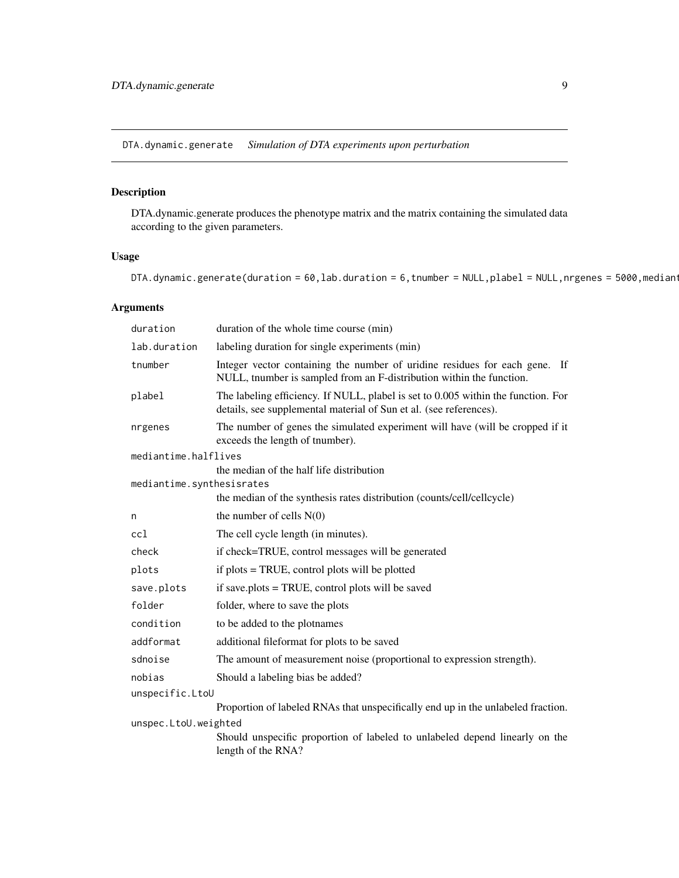<span id="page-8-0"></span>DTA.dynamic.generate *Simulation of DTA experiments upon perturbation*

# Description

DTA.dynamic.generate produces the phenotype matrix and the matrix containing the simulated data according to the given parameters.

# Usage

DTA.dynamic.generate(duration = 60, lab.duration = 6, tnumber = NULL, plabel = NULL, nrgenes = 5000, median

# Arguments

| duration                  | duration of the whole time course (min)                                                                                                                 |
|---------------------------|---------------------------------------------------------------------------------------------------------------------------------------------------------|
| lab.duration              | labeling duration for single experiments (min)                                                                                                          |
| tnumber                   | Integer vector containing the number of uridine residues for each gene. If<br>NULL, tnumber is sampled from an F-distribution within the function.      |
| plabel                    | The labeling efficiency. If NULL, plabel is set to 0.005 within the function. For<br>details, see supplemental material of Sun et al. (see references). |
| nrgenes                   | The number of genes the simulated experiment will have (will be cropped if it<br>exceeds the length of tnumber).                                        |
| mediantime.halflives      |                                                                                                                                                         |
|                           | the median of the half life distribution                                                                                                                |
| mediantime.synthesisrates |                                                                                                                                                         |
|                           | the median of the synthesis rates distribution (counts/cell/cellcycle)                                                                                  |
| n                         | the number of cells $N(0)$                                                                                                                              |
| cc1                       | The cell cycle length (in minutes).                                                                                                                     |
| check                     | if check=TRUE, control messages will be generated                                                                                                       |
| plots                     | if plots = TRUE, control plots will be plotted                                                                                                          |
| save.plots                | if save.plots = TRUE, control plots will be saved                                                                                                       |
| folder                    | folder, where to save the plots                                                                                                                         |
| condition                 | to be added to the plotnames                                                                                                                            |
| addformat                 | additional fileformat for plots to be saved                                                                                                             |
| sdnoise                   | The amount of measurement noise (proportional to expression strength).                                                                                  |
| nobias                    | Should a labeling bias be added?                                                                                                                        |
| unspecific.LtoU           |                                                                                                                                                         |
|                           | Proportion of labeled RNAs that unspecifically end up in the unlabeled fraction.                                                                        |
| unspec.LtoU.weighted      |                                                                                                                                                         |
|                           | Should unspecific proportion of labeled to unlabeled depend linearly on the<br>length of the RNA?                                                       |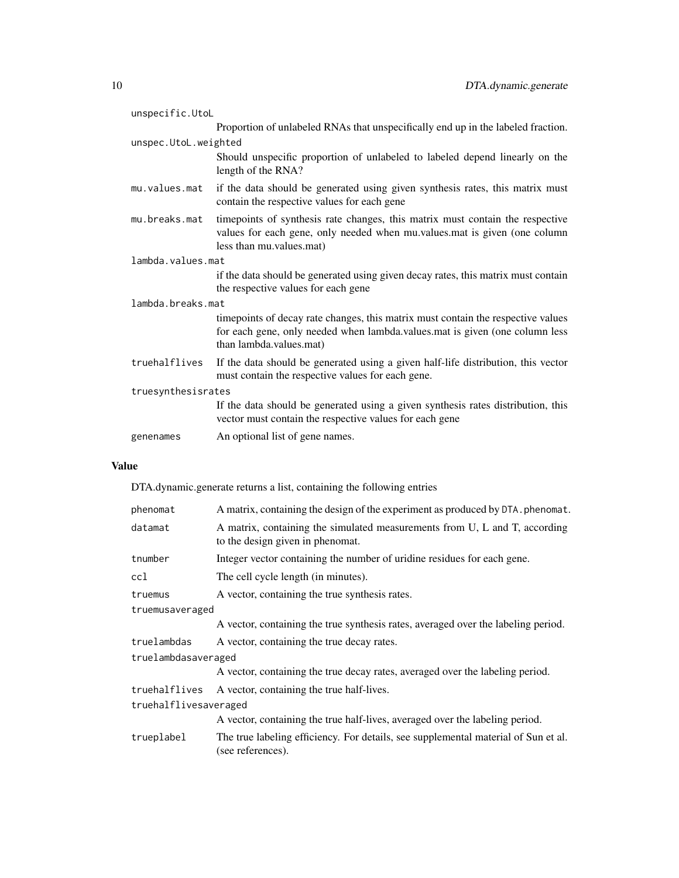| unspecific.UtoL      |                                                                                                                                                                                            |  |  |  |  |  |
|----------------------|--------------------------------------------------------------------------------------------------------------------------------------------------------------------------------------------|--|--|--|--|--|
|                      | Proportion of unlabeled RNAs that unspecifically end up in the labeled fraction.                                                                                                           |  |  |  |  |  |
| unspec.UtoL.weighted |                                                                                                                                                                                            |  |  |  |  |  |
|                      | Should unspecific proportion of unlabeled to labeled depend linearly on the<br>length of the RNA?                                                                                          |  |  |  |  |  |
| mu.values.mat        | if the data should be generated using given synthesis rates, this matrix must<br>contain the respective values for each gene                                                               |  |  |  |  |  |
| mu.breaks.mat        | timepoints of synthesis rate changes, this matrix must contain the respective<br>values for each gene, only needed when mu values mat is given (one column<br>less than mu.values.mat)     |  |  |  |  |  |
| lambda.values.mat    |                                                                                                                                                                                            |  |  |  |  |  |
|                      | if the data should be generated using given decay rates, this matrix must contain<br>the respective values for each gene                                                                   |  |  |  |  |  |
| lambda.breaks.mat    |                                                                                                                                                                                            |  |  |  |  |  |
|                      | timepoints of decay rate changes, this matrix must contain the respective values<br>for each gene, only needed when lambda.values.mat is given (one column less<br>than lambda.values.mat) |  |  |  |  |  |
| truehalflives        | If the data should be generated using a given half-life distribution, this vector<br>must contain the respective values for each gene.                                                     |  |  |  |  |  |
| truesynthesisrates   |                                                                                                                                                                                            |  |  |  |  |  |
|                      | If the data should be generated using a given synthesis rates distribution, this<br>vector must contain the respective values for each gene                                                |  |  |  |  |  |
| genenames            | An optional list of gene names.                                                                                                                                                            |  |  |  |  |  |
|                      |                                                                                                                                                                                            |  |  |  |  |  |

# Value

DTA.dynamic.generate returns a list, containing the following entries

| phenomat              | A matrix, containing the design of the experiment as produced by DTA. phenomat.                                |  |  |  |  |  |
|-----------------------|----------------------------------------------------------------------------------------------------------------|--|--|--|--|--|
| datamat               | A matrix, containing the simulated measurements from U, L and T, according<br>to the design given in phenomat. |  |  |  |  |  |
| tnumber               | Integer vector containing the number of uridine residues for each gene.                                        |  |  |  |  |  |
| ccl                   | The cell cycle length (in minutes).                                                                            |  |  |  |  |  |
| truemus               | A vector, containing the true synthesis rates.                                                                 |  |  |  |  |  |
| truemusaveraged       |                                                                                                                |  |  |  |  |  |
|                       | A vector, containing the true synthesis rates, averaged over the labeling period.                              |  |  |  |  |  |
| truelambdas           | A vector, containing the true decay rates.                                                                     |  |  |  |  |  |
| truelambdasaveraged   |                                                                                                                |  |  |  |  |  |
|                       | A vector, containing the true decay rates, averaged over the labeling period.                                  |  |  |  |  |  |
| truehalflives         | A vector, containing the true half-lives.                                                                      |  |  |  |  |  |
| truehalflivesaveraged |                                                                                                                |  |  |  |  |  |
|                       | A vector, containing the true half-lives, averaged over the labeling period.                                   |  |  |  |  |  |
| trueplabel            | The true labeling efficiency. For details, see supplemental material of Sun et al.<br>(see references).        |  |  |  |  |  |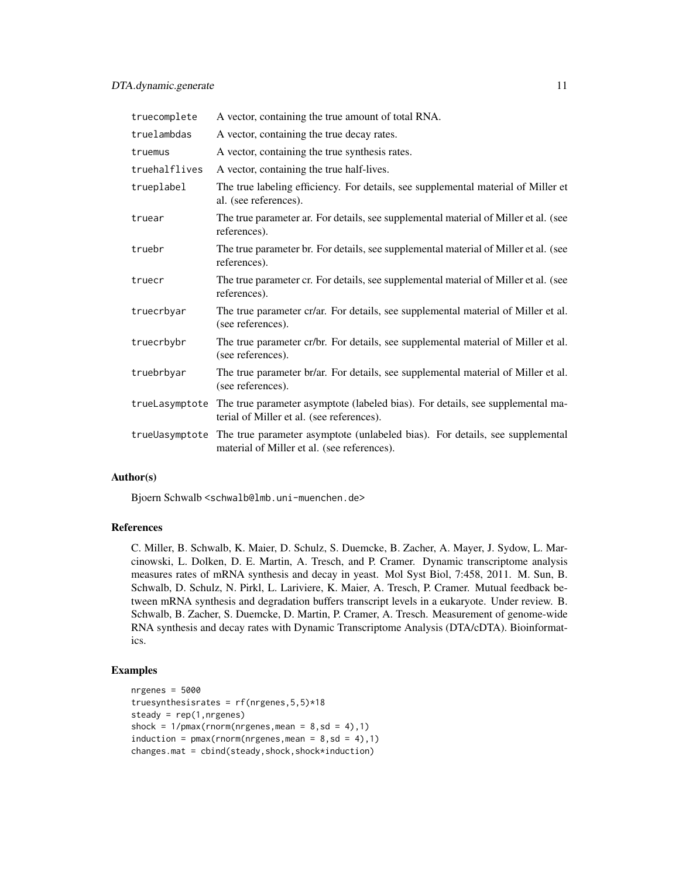| truecomplete  | A vector, containing the true amount of total RNA.                                                                                          |
|---------------|---------------------------------------------------------------------------------------------------------------------------------------------|
| truelambdas   | A vector, containing the true decay rates.                                                                                                  |
| truemus       | A vector, containing the true synthesis rates.                                                                                              |
| truehalflives | A vector, containing the true half-lives.                                                                                                   |
| trueplabel    | The true labeling efficiency. For details, see supplemental material of Miller et<br>al. (see references).                                  |
| truear        | The true parameter ar. For details, see supplemental material of Miller et al. (see<br>references).                                         |
| truebr        | The true parameter br. For details, see supplemental material of Miller et al. (see<br>references).                                         |
| truecr        | The true parameter cr. For details, see supplemental material of Miller et al. (see<br>references).                                         |
| truecrbyar    | The true parameter cr/ar. For details, see supplemental material of Miller et al.<br>(see references).                                      |
| truecrbybr    | The true parameter cr/br. For details, see supplemental material of Miller et al.<br>(see references).                                      |
| truebrbyar    | The true parameter br/ar. For details, see supplemental material of Miller et al.<br>(see references).                                      |
|               | trueLasymptote The true parameter asymptote (labeled bias). For details, see supplemental ma-<br>terial of Miller et al. (see references).  |
|               | true Uasymptote The true parameter asymptote (unlabeled bias). For details, see supplemental<br>material of Miller et al. (see references). |

#### Author(s)

Bjoern Schwalb <schwalb@lmb.uni-muenchen.de>

# References

C. Miller, B. Schwalb, K. Maier, D. Schulz, S. Duemcke, B. Zacher, A. Mayer, J. Sydow, L. Marcinowski, L. Dolken, D. E. Martin, A. Tresch, and P. Cramer. Dynamic transcriptome analysis measures rates of mRNA synthesis and decay in yeast. Mol Syst Biol, 7:458, 2011. M. Sun, B. Schwalb, D. Schulz, N. Pirkl, L. Lariviere, K. Maier, A. Tresch, P. Cramer. Mutual feedback between mRNA synthesis and degradation buffers transcript levels in a eukaryote. Under review. B. Schwalb, B. Zacher, S. Duemcke, D. Martin, P. Cramer, A. Tresch. Measurement of genome-wide RNA synthesis and decay rates with Dynamic Transcriptome Analysis (DTA/cDTA). Bioinformatics.

#### Examples

```
nrgenes = <math>5000</math>truesynthesisrates = rf(nrgenes, 5, 5)*18steady = rep(1,nrgenes)shock = 1/pmax(rnorm(nrgenes,mean = 8, sd = 4), 1)induction = pmax(rnorm(nrgenes,mean = 8, sd = 4), 1)changes.mat = child(test) shock, shock*induction)
```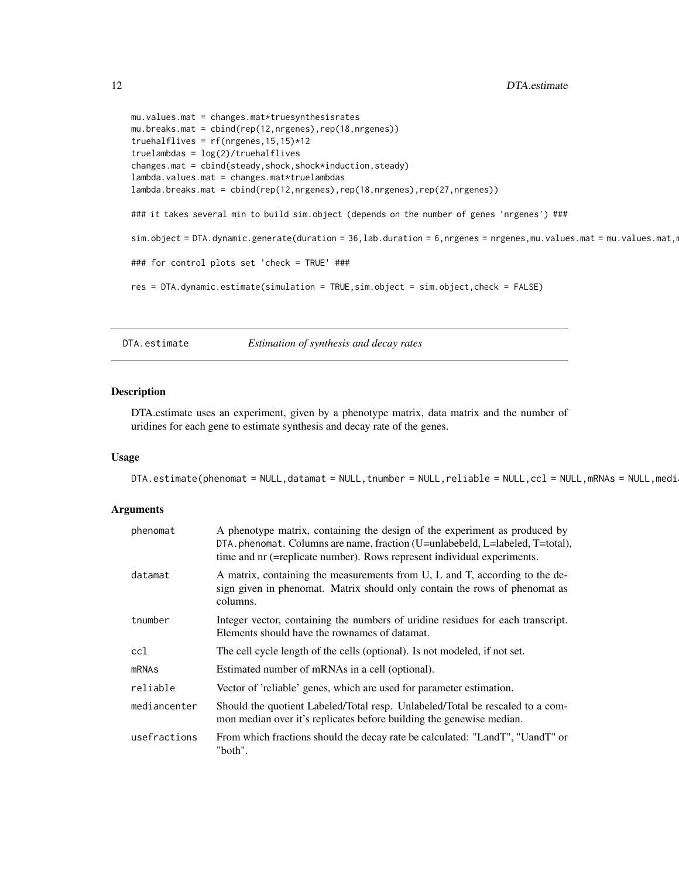```
mu.values.mat = changes.mat*truesynthesisrates
mu.breaks.mat = cbind(rep(12,nrgenes),rep(18,nrgenes))
truehalflives = rf(nrgenes,15,15)*12
truelambdas = log(2)/truehalflives
changes.mat = cbind(steady,shock,shock*induction,steady)
lambda.values.mat = changes.mat*truelambdas
lambda.breaks.mat = cbind(rep(12,nrgenes),rep(18,nrgenes),rep(27,nrgenes))
### it takes several min to build sim.object (depends on the number of genes 'nrgenes') ###
sim.object = DTA.dynamic.generate(duration = 36,lab.duration = 6,nrgenes = nrgenes,mu.values.mat = mu.values.mat,r
### for control plots set 'check = TRUE' ###
res = DTA.dynamic.estimate(simulation = TRUE,sim.object = sim.object,check = FALSE)
```
DTA.estimate *Estimation of synthesis and decay rates*

#### Description

DTA.estimate uses an experiment, given by a phenotype matrix, data matrix and the number of uridines for each gene to estimate synthesis and decay rate of the genes.

# Usage

DTA.estimate(phenomat = NULL,datamat = NULL,tnumber = NULL,reliable = NULL,ccl = NULL,mRNAs = NULL,medi

#### Arguments

| phenomat     | A phenotype matrix, containing the design of the experiment as produced by<br>DTA.phenomat. Columns are name, fraction (U=unlabebeld, L=labeled, T=total),<br>time and nr (=replicate number). Rows represent individual experiments. |
|--------------|---------------------------------------------------------------------------------------------------------------------------------------------------------------------------------------------------------------------------------------|
| datamat      | A matrix, containing the measurements from U, L and T, according to the de-<br>sign given in phenomat. Matrix should only contain the rows of phenomat as<br>columns.                                                                 |
| tnumber      | Integer vector, containing the numbers of uridine residues for each transcript.<br>Elements should have the rownames of datamat.                                                                                                      |
| ccl          | The cell cycle length of the cells (optional). Is not modeled, if not set.                                                                                                                                                            |
| mRNAs        | Estimated number of mRNAs in a cell (optional).                                                                                                                                                                                       |
| reliable     | Vector of 'reliable' genes, which are used for parameter estimation.                                                                                                                                                                  |
| mediancenter | Should the quotient Labeled/Total resp. Unlabeled/Total be rescaled to a com-<br>mon median over it's replicates before building the genewise median.                                                                                 |
| usefractions | From which fractions should the decay rate be calculated: "LandT", "UandT" or<br>"both".                                                                                                                                              |

<span id="page-11-0"></span>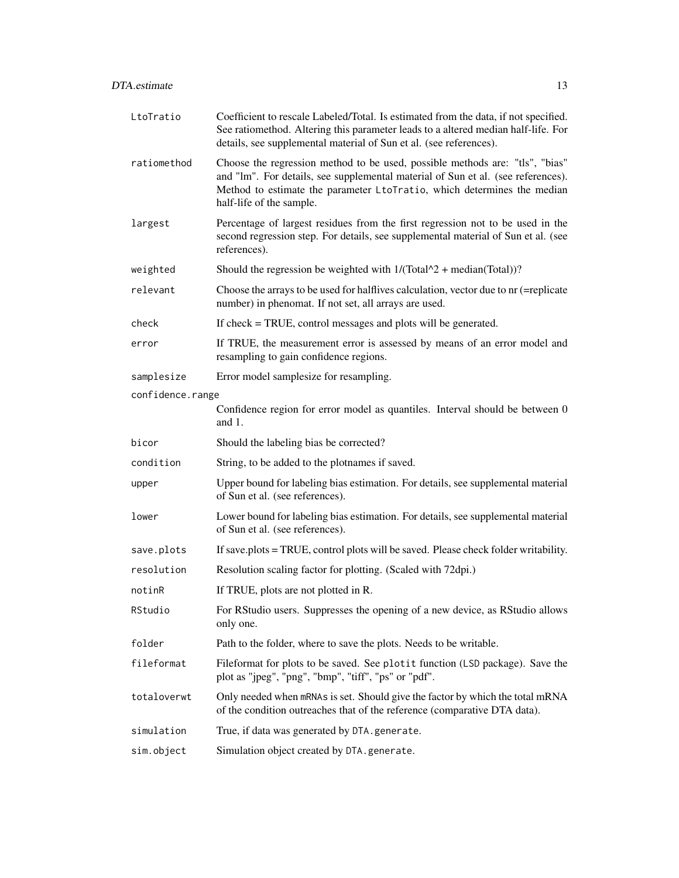| LtoTratio                                            | Coefficient to rescale Labeled/Total. Is estimated from the data, if not specified.<br>See ratiomethod. Altering this parameter leads to a altered median half-life. For<br>details, see supplemental material of Sun et al. (see references).                          |  |  |  |  |  |
|------------------------------------------------------|-------------------------------------------------------------------------------------------------------------------------------------------------------------------------------------------------------------------------------------------------------------------------|--|--|--|--|--|
| ratiomethod                                          | Choose the regression method to be used, possible methods are: "tls", "bias"<br>and "lm". For details, see supplemental material of Sun et al. (see references).<br>Method to estimate the parameter LtoTratio, which determines the median<br>half-life of the sample. |  |  |  |  |  |
| largest                                              | Percentage of largest residues from the first regression not to be used in the<br>second regression step. For details, see supplemental material of Sun et al. (see<br>references).                                                                                     |  |  |  |  |  |
| weighted                                             | Should the regression be weighted with $1/(\text{Total}^2 + \text{median}(\text{Total}))$ ?                                                                                                                                                                             |  |  |  |  |  |
| relevant                                             | Choose the arrays to be used for halflives calculation, vector due to nr (=replicate<br>number) in phenomat. If not set, all arrays are used.                                                                                                                           |  |  |  |  |  |
| check                                                | If check = TRUE, control messages and plots will be generated.                                                                                                                                                                                                          |  |  |  |  |  |
| error                                                | If TRUE, the measurement error is assessed by means of an error model and<br>resampling to gain confidence regions.                                                                                                                                                     |  |  |  |  |  |
| samplesize<br>Error model samplesize for resampling. |                                                                                                                                                                                                                                                                         |  |  |  |  |  |
| confidence.range                                     |                                                                                                                                                                                                                                                                         |  |  |  |  |  |
|                                                      | Confidence region for error model as quantiles. Interval should be between 0<br>and $1$ .                                                                                                                                                                               |  |  |  |  |  |
| bicor                                                | Should the labeling bias be corrected?                                                                                                                                                                                                                                  |  |  |  |  |  |
| condition                                            | String, to be added to the plotnames if saved.                                                                                                                                                                                                                          |  |  |  |  |  |
| upper                                                | Upper bound for labeling bias estimation. For details, see supplemental material<br>of Sun et al. (see references).                                                                                                                                                     |  |  |  |  |  |
| lower                                                | Lower bound for labeling bias estimation. For details, see supplemental material<br>of Sun et al. (see references).                                                                                                                                                     |  |  |  |  |  |
| save.plots                                           | If save.plots = TRUE, control plots will be saved. Please check folder writability.                                                                                                                                                                                     |  |  |  |  |  |
| resolution                                           | Resolution scaling factor for plotting. (Scaled with 72dpi.)                                                                                                                                                                                                            |  |  |  |  |  |
| notinR                                               | If TRUE, plots are not plotted in R.                                                                                                                                                                                                                                    |  |  |  |  |  |
| RStudio                                              | For RStudio users. Suppresses the opening of a new device, as RStudio allows<br>only one.                                                                                                                                                                               |  |  |  |  |  |
| folder                                               | Path to the folder, where to save the plots. Needs to be writable.                                                                                                                                                                                                      |  |  |  |  |  |
| fileformat                                           | Fileformat for plots to be saved. See plotit function (LSD package). Save the<br>plot as "jpeg", "png", "bmp", "tiff", "ps" or "pdf".                                                                                                                                   |  |  |  |  |  |
| totaloverwt                                          | Only needed when mRNAs is set. Should give the factor by which the total mRNA<br>of the condition outreaches that of the reference (comparative DTA data).                                                                                                              |  |  |  |  |  |
| simulation                                           | True, if data was generated by DTA. generate.                                                                                                                                                                                                                           |  |  |  |  |  |
| sim.object                                           | Simulation object created by DTA.generate.                                                                                                                                                                                                                              |  |  |  |  |  |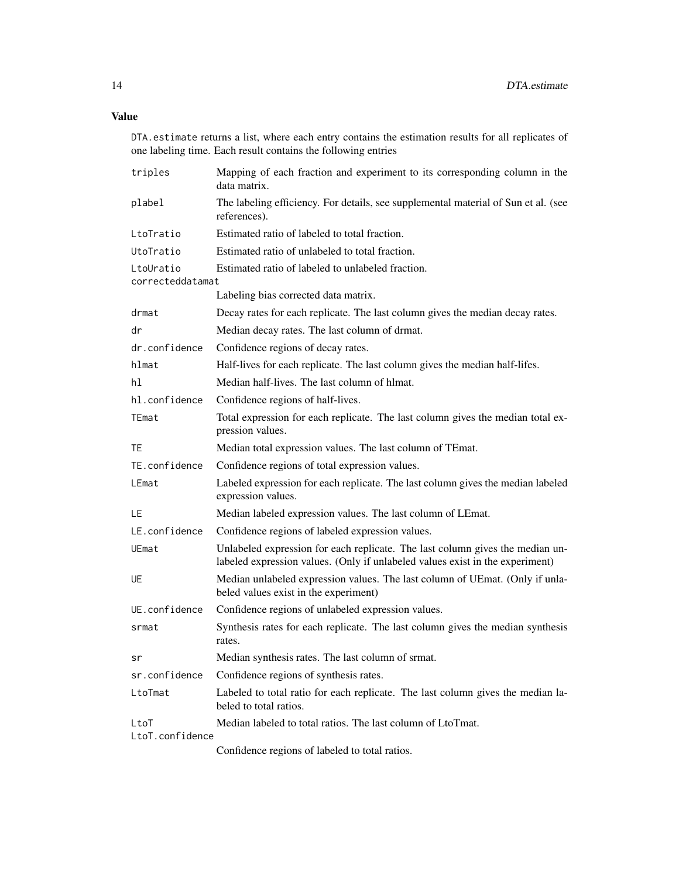# Value

DTA.estimate returns a list, where each entry contains the estimation results for all replicates of one labeling time. Each result contains the following entries

| triples                       | Mapping of each fraction and experiment to its corresponding column in the<br>data matrix.                                                                     |  |  |  |  |  |  |
|-------------------------------|----------------------------------------------------------------------------------------------------------------------------------------------------------------|--|--|--|--|--|--|
| plabel                        | The labeling efficiency. For details, see supplemental material of Sun et al. (see<br>references).                                                             |  |  |  |  |  |  |
| LtoTratio                     | Estimated ratio of labeled to total fraction.                                                                                                                  |  |  |  |  |  |  |
| UtoTratio                     | Estimated ratio of unlabeled to total fraction.                                                                                                                |  |  |  |  |  |  |
| LtoUratio<br>correcteddatamat | Estimated ratio of labeled to unlabeled fraction.                                                                                                              |  |  |  |  |  |  |
|                               | Labeling bias corrected data matrix.                                                                                                                           |  |  |  |  |  |  |
| drmat                         | Decay rates for each replicate. The last column gives the median decay rates.                                                                                  |  |  |  |  |  |  |
| dr                            | Median decay rates. The last column of drmat.                                                                                                                  |  |  |  |  |  |  |
| dr.confidence                 | Confidence regions of decay rates.                                                                                                                             |  |  |  |  |  |  |
| hlmat                         | Half-lives for each replicate. The last column gives the median half-lifes.                                                                                    |  |  |  |  |  |  |
| hl                            | Median half-lives. The last column of hlmat.                                                                                                                   |  |  |  |  |  |  |
| hl.confidence                 | Confidence regions of half-lives.                                                                                                                              |  |  |  |  |  |  |
| TEmat                         | Total expression for each replicate. The last column gives the median total ex-<br>pression values.                                                            |  |  |  |  |  |  |
| TE                            | Median total expression values. The last column of TEmat.                                                                                                      |  |  |  |  |  |  |
| TE.confidence                 | Confidence regions of total expression values.                                                                                                                 |  |  |  |  |  |  |
| LEmat                         | Labeled expression for each replicate. The last column gives the median labeled<br>expression values.                                                          |  |  |  |  |  |  |
| LE                            | Median labeled expression values. The last column of LEmat.                                                                                                    |  |  |  |  |  |  |
| LE.confidence                 | Confidence regions of labeled expression values.                                                                                                               |  |  |  |  |  |  |
| UEmat                         | Unlabeled expression for each replicate. The last column gives the median un-<br>labeled expression values. (Only if unlabeled values exist in the experiment) |  |  |  |  |  |  |
| UE                            | Median unlabeled expression values. The last column of UEmat. (Only if unla-<br>beled values exist in the experiment)                                          |  |  |  |  |  |  |
| UE.confidence                 | Confidence regions of unlabeled expression values.                                                                                                             |  |  |  |  |  |  |
| srmat                         | Synthesis rates for each replicate. The last column gives the median synthesis<br>rates.                                                                       |  |  |  |  |  |  |
| sr                            | Median synthesis rates. The last column of srmat.                                                                                                              |  |  |  |  |  |  |
| sr.confidence                 | Confidence regions of synthesis rates.                                                                                                                         |  |  |  |  |  |  |
| LtoTmat                       | Labeled to total ratio for each replicate. The last column gives the median la-<br>beled to total ratios.                                                      |  |  |  |  |  |  |
| LtoT<br>LtoT.confidence       | Median labeled to total ratios. The last column of LtoTmat.                                                                                                    |  |  |  |  |  |  |
|                               | Confidence regions of labeled to total ratios.                                                                                                                 |  |  |  |  |  |  |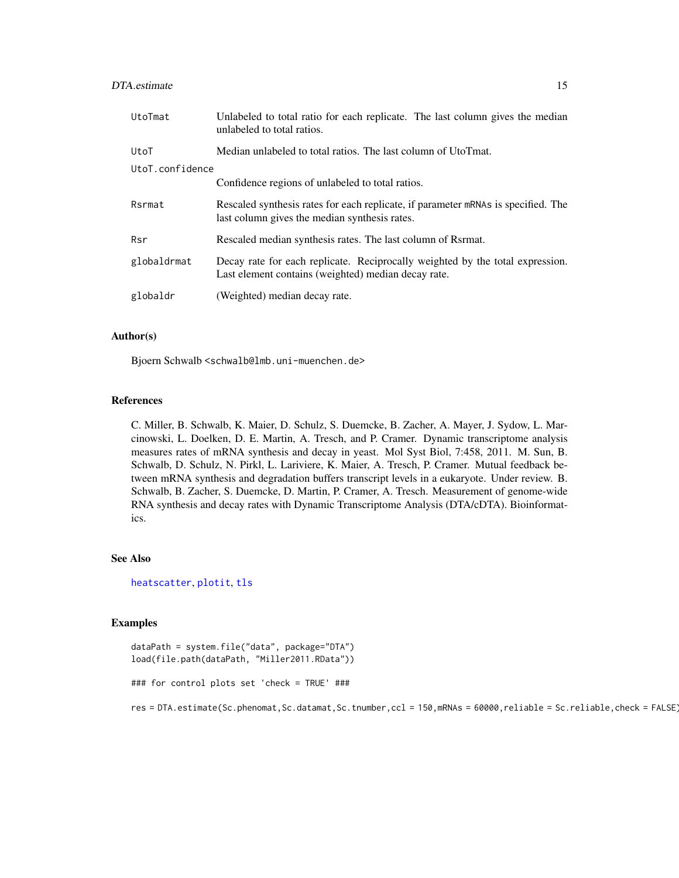# <span id="page-14-0"></span>DTA.estimate 15

| UtoTmat         | Unlabeled to total ratio for each replicate. The last column gives the median<br>unlabeled to total ratios.                          |  |  |  |  |  |  |
|-----------------|--------------------------------------------------------------------------------------------------------------------------------------|--|--|--|--|--|--|
| UtoT            | Median unlabeled to total ratios. The last column of UtoTmat.                                                                        |  |  |  |  |  |  |
| UtoT.confidence |                                                                                                                                      |  |  |  |  |  |  |
|                 | Confidence regions of unlabeled to total ratios.                                                                                     |  |  |  |  |  |  |
| Rsrmat          | Rescaled synthesis rates for each replicate, if parameter mRNAs is specified. The<br>last column gives the median synthesis rates.   |  |  |  |  |  |  |
| Rsr             | Rescaled median synthesis rates. The last column of Rsrmat.                                                                          |  |  |  |  |  |  |
| globaldrmat     | Decay rate for each replicate. Reciprocally weighted by the total expression.<br>Last element contains (weighted) median decay rate. |  |  |  |  |  |  |
| globaldr        | (Weighted) median decay rate.                                                                                                        |  |  |  |  |  |  |

# Author(s)

Bjoern Schwalb <schwalb@lmb.uni-muenchen.de>

#### References

C. Miller, B. Schwalb, K. Maier, D. Schulz, S. Duemcke, B. Zacher, A. Mayer, J. Sydow, L. Marcinowski, L. Doelken, D. E. Martin, A. Tresch, and P. Cramer. Dynamic transcriptome analysis measures rates of mRNA synthesis and decay in yeast. Mol Syst Biol, 7:458, 2011. M. Sun, B. Schwalb, D. Schulz, N. Pirkl, L. Lariviere, K. Maier, A. Tresch, P. Cramer. Mutual feedback between mRNA synthesis and degradation buffers transcript levels in a eukaryote. Under review. B. Schwalb, B. Zacher, S. Duemcke, D. Martin, P. Cramer, A. Tresch. Measurement of genome-wide RNA synthesis and decay rates with Dynamic Transcriptome Analysis (DTA/cDTA). Bioinformatics.

#### See Also

[heatscatter](#page-0-0), [plotit](#page-0-0), [tls](#page-37-1)

#### Examples

```
dataPath = system.file("data", package="DTA")
load(file.path(dataPath, "Miller2011.RData"))
```

```
### for control plots set 'check = TRUE' ###
```

```
res = DTA.estimate(Sc.phenomat,Sc.datamat,Sc.tnumber,ccl = 150,mRNAs = 60000,reliable = Sc.reliable,check = FALSE)
```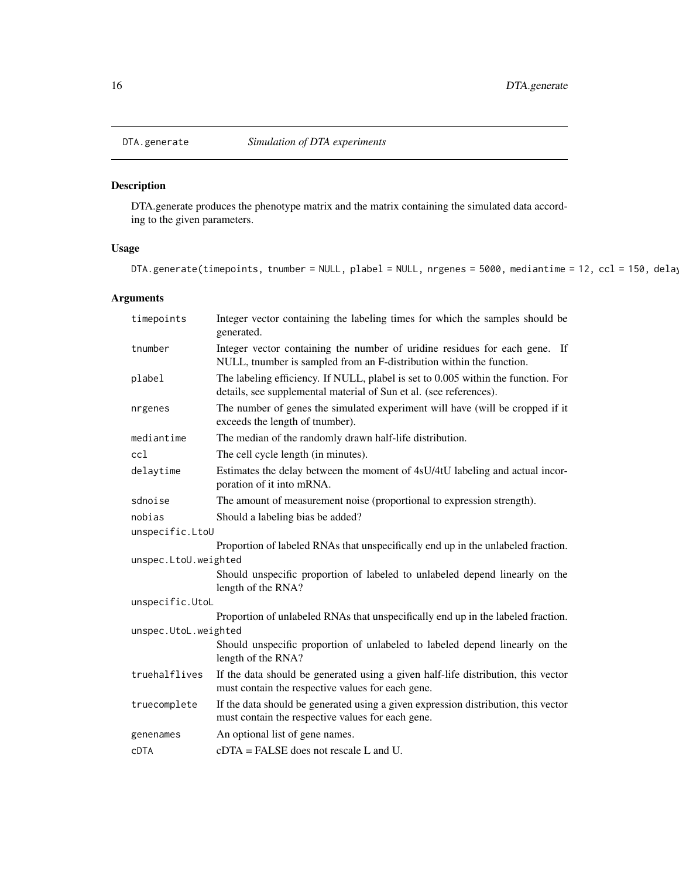<span id="page-15-0"></span>

DTA.generate produces the phenotype matrix and the matrix containing the simulated data according to the given parameters.

# Usage

```
DTA.generate(timepoints, tnumber = NULL, plabel = NULL, nrgenes = 5000, mediantime = 12, ccl = 150, delay
```
# Arguments

| timepoints                                 | Integer vector containing the labeling times for which the samples should be<br>generated.                                                              |  |  |  |  |  |
|--------------------------------------------|---------------------------------------------------------------------------------------------------------------------------------------------------------|--|--|--|--|--|
| tnumber                                    | Integer vector containing the number of uridine residues for each gene. If<br>NULL, tnumber is sampled from an F-distribution within the function.      |  |  |  |  |  |
| plabel                                     | The labeling efficiency. If NULL, plabel is set to 0.005 within the function. For<br>details, see supplemental material of Sun et al. (see references). |  |  |  |  |  |
| nrgenes                                    | The number of genes the simulated experiment will have (will be cropped if it<br>exceeds the length of tnumber).                                        |  |  |  |  |  |
| mediantime                                 | The median of the randomly drawn half-life distribution.                                                                                                |  |  |  |  |  |
| cc1                                        | The cell cycle length (in minutes).                                                                                                                     |  |  |  |  |  |
| delaytime                                  | Estimates the delay between the moment of 4sU/4tU labeling and actual incor-<br>poration of it into mRNA.                                               |  |  |  |  |  |
| sdnoise                                    | The amount of measurement noise (proportional to expression strength).                                                                                  |  |  |  |  |  |
| nobias<br>Should a labeling bias be added? |                                                                                                                                                         |  |  |  |  |  |
| unspecific.LtoU                            |                                                                                                                                                         |  |  |  |  |  |
|                                            | Proportion of labeled RNAs that unspecifically end up in the unlabeled fraction.                                                                        |  |  |  |  |  |
| unspec.LtoU.weighted                       |                                                                                                                                                         |  |  |  |  |  |
|                                            | Should unspecific proportion of labeled to unlabeled depend linearly on the<br>length of the RNA?                                                       |  |  |  |  |  |
| unspecific.UtoL                            |                                                                                                                                                         |  |  |  |  |  |
|                                            | Proportion of unlabeled RNAs that unspecifically end up in the labeled fraction.                                                                        |  |  |  |  |  |
| unspec.UtoL.weighted                       |                                                                                                                                                         |  |  |  |  |  |
|                                            | Should unspecific proportion of unlabeled to labeled depend linearly on the<br>length of the RNA?                                                       |  |  |  |  |  |
| truehalflives                              | If the data should be generated using a given half-life distribution, this vector<br>must contain the respective values for each gene.                  |  |  |  |  |  |
| truecomplete                               | If the data should be generated using a given expression distribution, this vector<br>must contain the respective values for each gene.                 |  |  |  |  |  |
| genenames                                  | An optional list of gene names.                                                                                                                         |  |  |  |  |  |
| <b>CDTA</b>                                | $cCTA = FALSE$ does not rescale L and U.                                                                                                                |  |  |  |  |  |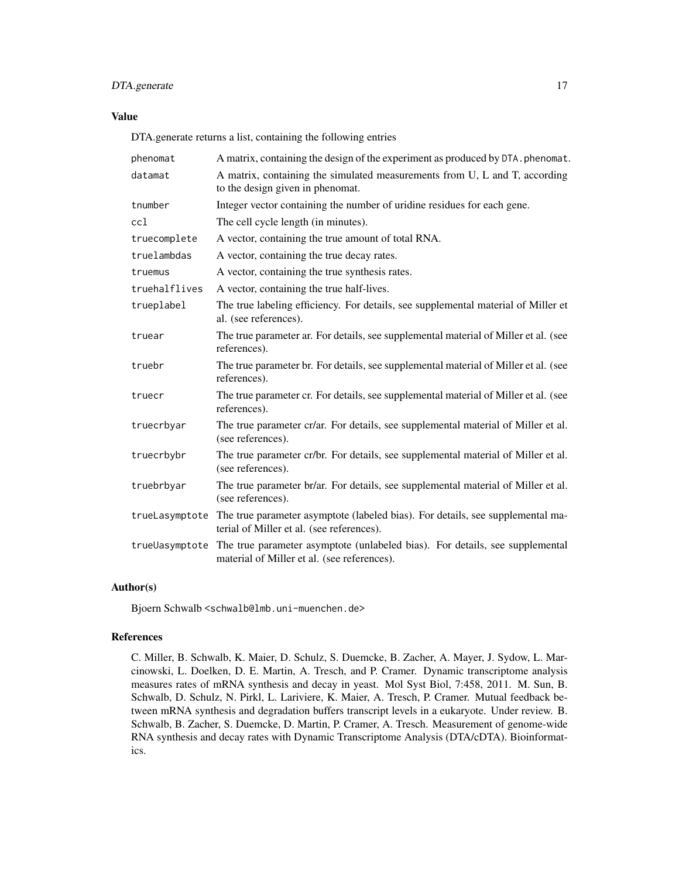# DTA.generate 17

# Value

DTA.generate returns a list, containing the following entries

| phenomat       | A matrix, containing the design of the experiment as produced by DTA. phenomat.                                             |  |  |  |  |  |
|----------------|-----------------------------------------------------------------------------------------------------------------------------|--|--|--|--|--|
| datamat        | A matrix, containing the simulated measurements from U, L and T, according<br>to the design given in phenomat.              |  |  |  |  |  |
| tnumber        | Integer vector containing the number of uridine residues for each gene.                                                     |  |  |  |  |  |
| cc1            | The cell cycle length (in minutes).                                                                                         |  |  |  |  |  |
| truecomplete   | A vector, containing the true amount of total RNA.                                                                          |  |  |  |  |  |
| truelambdas    | A vector, containing the true decay rates.                                                                                  |  |  |  |  |  |
| truemus        | A vector, containing the true synthesis rates.                                                                              |  |  |  |  |  |
| truehalflives  | A vector, containing the true half-lives.                                                                                   |  |  |  |  |  |
| trueplabel     | The true labeling efficiency. For details, see supplemental material of Miller et<br>al. (see references).                  |  |  |  |  |  |
| truear         | The true parameter ar. For details, see supplemental material of Miller et al. (see<br>references).                         |  |  |  |  |  |
| truebr         | The true parameter br. For details, see supplemental material of Miller et al. (see<br>references).                         |  |  |  |  |  |
| truecr         | The true parameter cr. For details, see supplemental material of Miller et al. (see<br>references).                         |  |  |  |  |  |
| truecrbyar     | The true parameter cr/ar. For details, see supplemental material of Miller et al.<br>(see references).                      |  |  |  |  |  |
| truecrbybr     | The true parameter cr/br. For details, see supplemental material of Miller et al.<br>(see references).                      |  |  |  |  |  |
| truebrbyar     | The true parameter br/ar. For details, see supplemental material of Miller et al.<br>(see references).                      |  |  |  |  |  |
| trueLasymptote | The true parameter asymptote (labeled bias). For details, see supplemental ma-<br>terial of Miller et al. (see references). |  |  |  |  |  |
| trueUasymptote | The true parameter asymptote (unlabeled bias). For details, see supplemental<br>material of Miller et al. (see references). |  |  |  |  |  |

#### Author(s)

Bjoern Schwalb <schwalb@lmb.uni-muenchen.de>

#### References

C. Miller, B. Schwalb, K. Maier, D. Schulz, S. Duemcke, B. Zacher, A. Mayer, J. Sydow, L. Marcinowski, L. Doelken, D. E. Martin, A. Tresch, and P. Cramer. Dynamic transcriptome analysis measures rates of mRNA synthesis and decay in yeast. Mol Syst Biol, 7:458, 2011. M. Sun, B. Schwalb, D. Schulz, N. Pirkl, L. Lariviere, K. Maier, A. Tresch, P. Cramer. Mutual feedback between mRNA synthesis and degradation buffers transcript levels in a eukaryote. Under review. B. Schwalb, B. Zacher, S. Duemcke, D. Martin, P. Cramer, A. Tresch. Measurement of genome-wide RNA synthesis and decay rates with Dynamic Transcriptome Analysis (DTA/cDTA). Bioinformatics.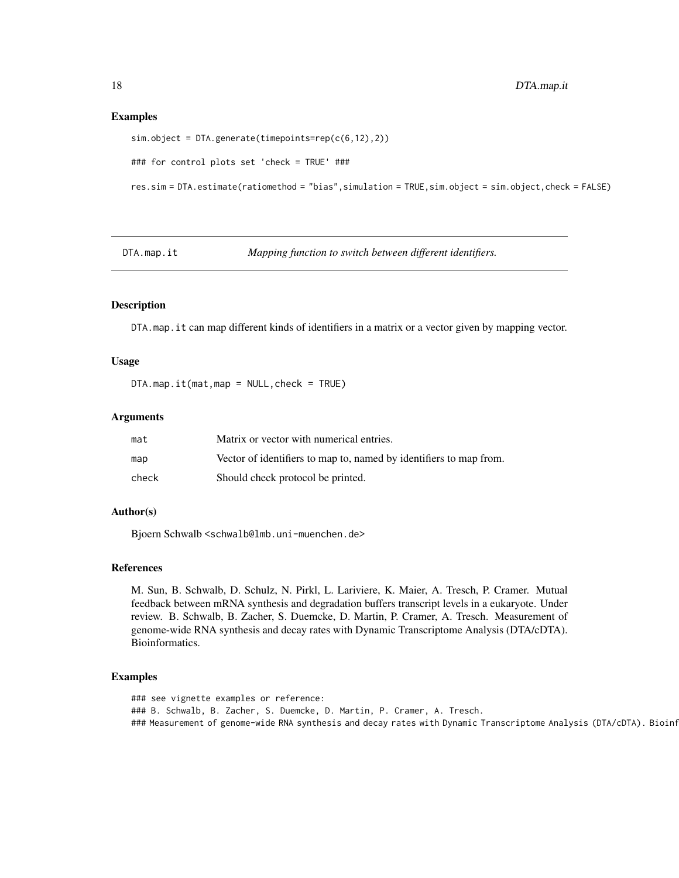#### Examples

```
sim.object = DTA.generate(timepoints=rep(c(6,12),2))
### for control plots set 'check = TRUE' ###
res.sim = DTA.estimate(ratiomethod = "bias",simulation = TRUE,sim.object = sim.object,check = FALSE)
```
DTA.map.it *Mapping function to switch between different identifiers.*

# Description

DTA.map.it can map different kinds of identifiers in a matrix or a vector given by mapping vector.

# Usage

DTA.map.it(mat,map = NULL,check = TRUE)

#### Arguments

| mat   | Matrix or vector with numerical entries.                           |
|-------|--------------------------------------------------------------------|
| map   | Vector of identifiers to map to, named by identifiers to map from. |
| check | Should check protocol be printed.                                  |

# Author(s)

Bjoern Schwalb <schwalb@lmb.uni-muenchen.de>

# References

M. Sun, B. Schwalb, D. Schulz, N. Pirkl, L. Lariviere, K. Maier, A. Tresch, P. Cramer. Mutual feedback between mRNA synthesis and degradation buffers transcript levels in a eukaryote. Under review. B. Schwalb, B. Zacher, S. Duemcke, D. Martin, P. Cramer, A. Tresch. Measurement of genome-wide RNA synthesis and decay rates with Dynamic Transcriptome Analysis (DTA/cDTA). Bioinformatics.

# Examples

```
### see vignette examples or reference:
### B. Schwalb, B. Zacher, S. Duemcke, D. Martin, P. Cramer, A. Tresch.
### Measurement of genome-wide RNA synthesis and decay rates with Dynamic Transcriptome Analysis (DTA/cDTA). Bioinf
```
<span id="page-17-0"></span>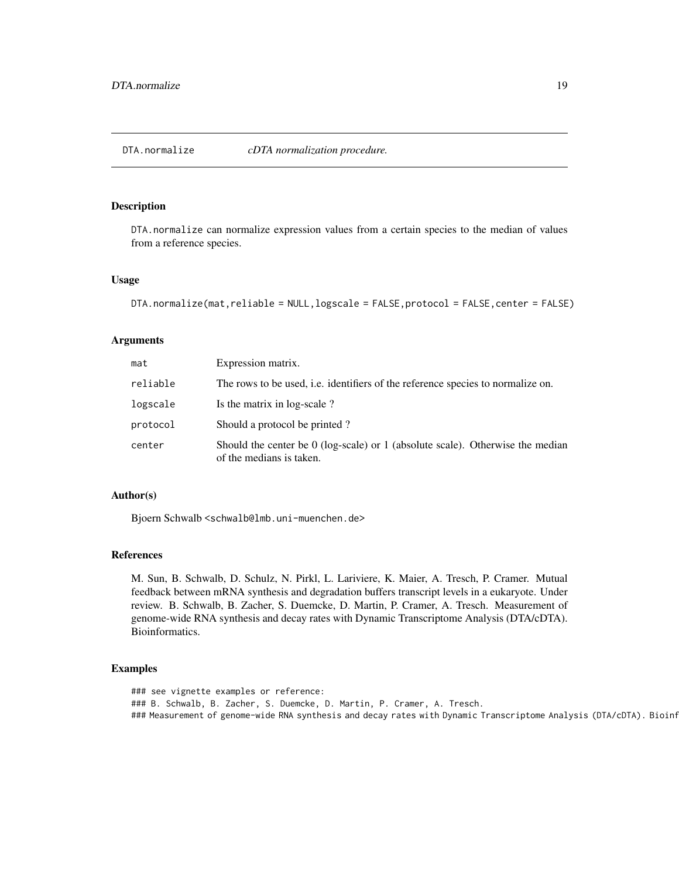<span id="page-18-0"></span>DTA.normalize *cDTA normalization procedure.*

# Description

DTA.normalize can normalize expression values from a certain species to the median of values from a reference species.

#### Usage

```
DTA.normalize(mat,reliable = NULL,logscale = FALSE,protocol = FALSE,center = FALSE)
```
#### Arguments

| mat      | Expression matrix.                                                                                           |  |  |  |  |  |  |
|----------|--------------------------------------------------------------------------------------------------------------|--|--|--|--|--|--|
| reliable | The rows to be used, i.e. identifiers of the reference species to normalize on.                              |  |  |  |  |  |  |
| logscale | Is the matrix in log-scale?                                                                                  |  |  |  |  |  |  |
| protocol | Should a protocol be printed?                                                                                |  |  |  |  |  |  |
| center   | Should the center be $0$ (log-scale) or 1 (absolute scale). Otherwise the median<br>of the medians is taken. |  |  |  |  |  |  |

# Author(s)

Bjoern Schwalb <schwalb@lmb.uni-muenchen.de>

# References

M. Sun, B. Schwalb, D. Schulz, N. Pirkl, L. Lariviere, K. Maier, A. Tresch, P. Cramer. Mutual feedback between mRNA synthesis and degradation buffers transcript levels in a eukaryote. Under review. B. Schwalb, B. Zacher, S. Duemcke, D. Martin, P. Cramer, A. Tresch. Measurement of genome-wide RNA synthesis and decay rates with Dynamic Transcriptome Analysis (DTA/cDTA). Bioinformatics.

#### Examples

### see vignette examples or reference: ### B. Schwalb, B. Zacher, S. Duemcke, D. Martin, P. Cramer, A. Tresch. ### Measurement of genome-wide RNA synthesis and decay rates with Dynamic Transcriptome Analysis (DTA/cDTA). Bioinf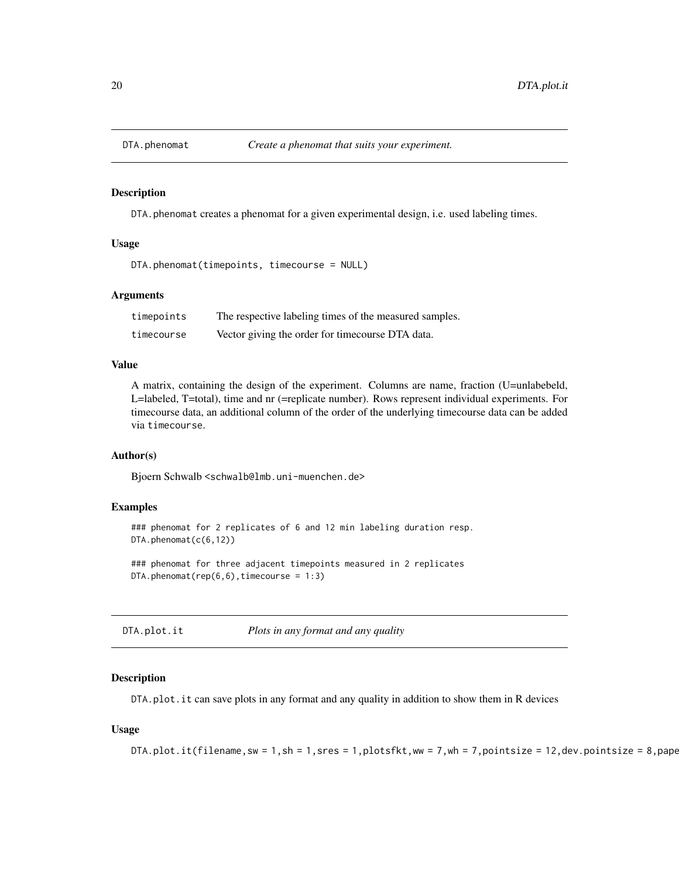<span id="page-19-0"></span>

DTA. phenomat creates a phenomat for a given experimental design, i.e. used labeling times.

# Usage

```
DTA.phenomat(timepoints, timecourse = NULL)
```
#### Arguments

| timepoints | The respective labeling times of the measured samples. |
|------------|--------------------------------------------------------|
| timecourse | Vector giving the order for timecourse DTA data.       |

# Value

A matrix, containing the design of the experiment. Columns are name, fraction (U=unlabebeld, L=labeled, T=total), time and nr (=replicate number). Rows represent individual experiments. For timecourse data, an additional column of the order of the underlying timecourse data can be added via timecourse.

#### Author(s)

Bjoern Schwalb <schwalb@lmb.uni-muenchen.de>

# Examples

```
### phenomat for 2 replicates of 6 and 12 min labeling duration resp.
DTA.phenomat(c(6,12))
```
### phenomat for three adjacent timepoints measured in 2 replicates  $DTA.phenomat(rep(6,6),timecourse = 1:3)$ 

DTA.plot.it *Plots in any format and any quality*

## **Description**

DTA.plot.it can save plots in any format and any quality in addition to show them in R devices

#### Usage

```
DTA.plot.it(filename, sw = 1, sh = 1, sres = 1, plotsfkt, ww = 7, wh = 7, pointsize = 12, dev.pointsize = 8, pape
```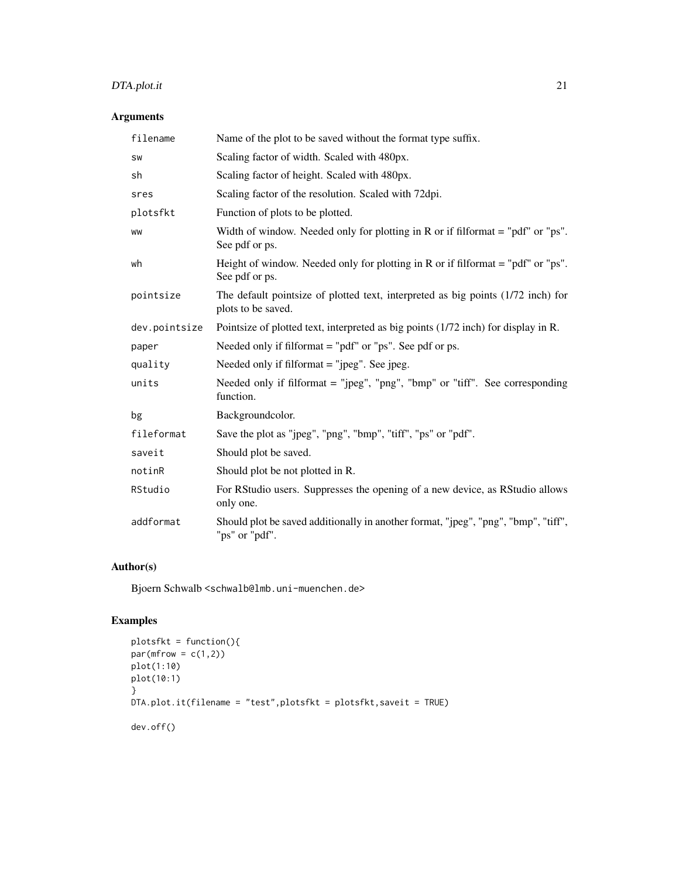# DTA.plot.it 21

# Arguments

| filename      | Name of the plot to be saved without the format type suffix.                                           |
|---------------|--------------------------------------------------------------------------------------------------------|
| SW            | Scaling factor of width. Scaled with 480px.                                                            |
| sh            | Scaling factor of height. Scaled with 480px.                                                           |
| sres          | Scaling factor of the resolution. Scaled with 72dpi.                                                   |
| plotsfkt      | Function of plots to be plotted.                                                                       |
| <b>WW</b>     | Width of window. Needed only for plotting in R or if filformat $=$ "pdf" or "ps".<br>See pdf or ps.    |
| wh            | Height of window. Needed only for plotting in R or if filformat $=$ "pdf" or "ps".<br>See pdf or ps.   |
| pointsize     | The default pointsize of plotted text, interpreted as big points (1/72 inch) for<br>plots to be saved. |
| dev.pointsize | Pointsize of plotted text, interpreted as big points (1/72 inch) for display in R.                     |
| paper         | Needed only if filformat $=$ "pdf" or "ps". See pdf or ps.                                             |
| quality       | Needed only if filformat = "jpeg". See jpeg.                                                           |
| units         | Needed only if filformat = "jpeg", "png", "bmp" or "tiff". See corresponding<br>function.              |
| bg            | Backgroundcolor.                                                                                       |
| fileformat    | Save the plot as "jpeg", "png", "bmp", "tiff", "ps" or "pdf".                                          |
| saveit        | Should plot be saved.                                                                                  |
| notinR        | Should plot be not plotted in R.                                                                       |
| RStudio       | For RStudio users. Suppresses the opening of a new device, as RStudio allows<br>only one.              |
| addformat     | Should plot be saved additionally in another format, "jpeg", "png", "bmp", "tiff",<br>"ps" or "pdf".   |

# Author(s)

Bjoern Schwalb <schwalb@lmb.uni-muenchen.de>

# Examples

```
plotsfkt = function(){
par(mfrow = c(1,2))plot(1:10)
plot(10:1)
}
DTA.plot.it(filename = "test",plotsfkt = plotsfkt,saveit = TRUE)
dev.off()
```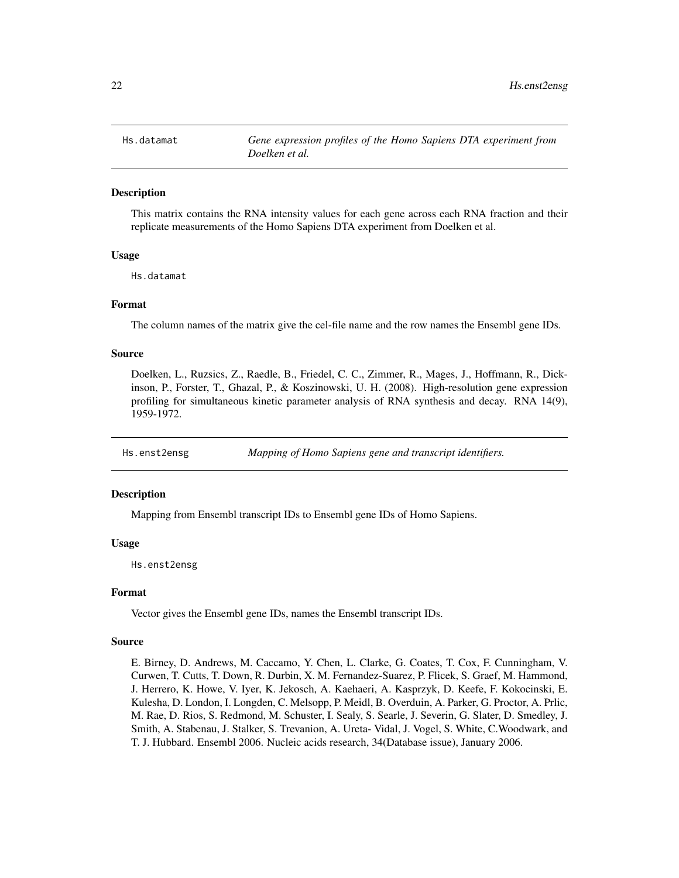<span id="page-21-0"></span>

This matrix contains the RNA intensity values for each gene across each RNA fraction and their replicate measurements of the Homo Sapiens DTA experiment from Doelken et al.

# Usage

Hs.datamat

# Format

The column names of the matrix give the cel-file name and the row names the Ensembl gene IDs.

# Source

Doelken, L., Ruzsics, Z., Raedle, B., Friedel, C. C., Zimmer, R., Mages, J., Hoffmann, R., Dickinson, P., Forster, T., Ghazal, P., & Koszinowski, U. H. (2008). High-resolution gene expression profiling for simultaneous kinetic parameter analysis of RNA synthesis and decay. RNA 14(9), 1959-1972.

Hs.enst2ensg *Mapping of Homo Sapiens gene and transcript identifiers.*

#### **Description**

Mapping from Ensembl transcript IDs to Ensembl gene IDs of Homo Sapiens.

# Usage

Hs.enst2ensg

# Format

Vector gives the Ensembl gene IDs, names the Ensembl transcript IDs.

# Source

E. Birney, D. Andrews, M. Caccamo, Y. Chen, L. Clarke, G. Coates, T. Cox, F. Cunningham, V. Curwen, T. Cutts, T. Down, R. Durbin, X. M. Fernandez-Suarez, P. Flicek, S. Graef, M. Hammond, J. Herrero, K. Howe, V. Iyer, K. Jekosch, A. Kaehaeri, A. Kasprzyk, D. Keefe, F. Kokocinski, E. Kulesha, D. London, I. Longden, C. Melsopp, P. Meidl, B. Overduin, A. Parker, G. Proctor, A. Prlic, M. Rae, D. Rios, S. Redmond, M. Schuster, I. Sealy, S. Searle, J. Severin, G. Slater, D. Smedley, J. Smith, A. Stabenau, J. Stalker, S. Trevanion, A. Ureta- Vidal, J. Vogel, S. White, C.Woodwark, and T. J. Hubbard. Ensembl 2006. Nucleic acids research, 34(Database issue), January 2006.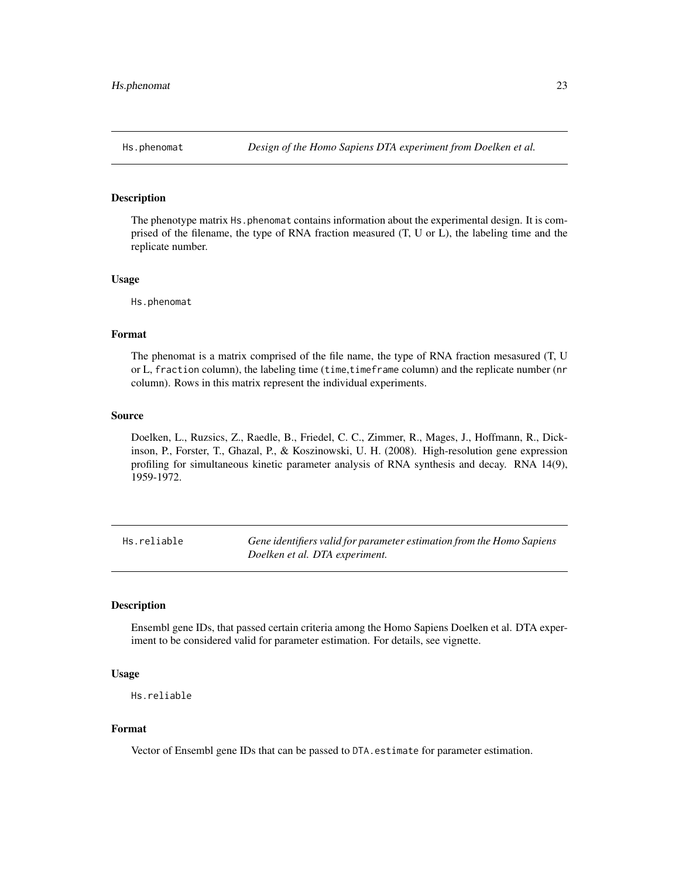<span id="page-22-0"></span>

The phenotype matrix Hs.phenomat contains information about the experimental design. It is comprised of the filename, the type of RNA fraction measured (T, U or L), the labeling time and the replicate number.

#### Usage

Hs.phenomat

# Format

The phenomat is a matrix comprised of the file name, the type of RNA fraction mesasured (T, U or L, fraction column), the labeling time (time,timeframe column) and the replicate number (nr column). Rows in this matrix represent the individual experiments.

#### Source

Doelken, L., Ruzsics, Z., Raedle, B., Friedel, C. C., Zimmer, R., Mages, J., Hoffmann, R., Dickinson, P., Forster, T., Ghazal, P., & Koszinowski, U. H. (2008). High-resolution gene expression profiling for simultaneous kinetic parameter analysis of RNA synthesis and decay. RNA 14(9), 1959-1972.

Hs.reliable *Gene identifiers valid for parameter estimation from the Homo Sapiens Doelken et al. DTA experiment.*

#### Description

Ensembl gene IDs, that passed certain criteria among the Homo Sapiens Doelken et al. DTA experiment to be considered valid for parameter estimation. For details, see vignette.

#### Usage

```
Hs.reliable
```
# Format

Vector of Ensembl gene IDs that can be passed to DTA.estimate for parameter estimation.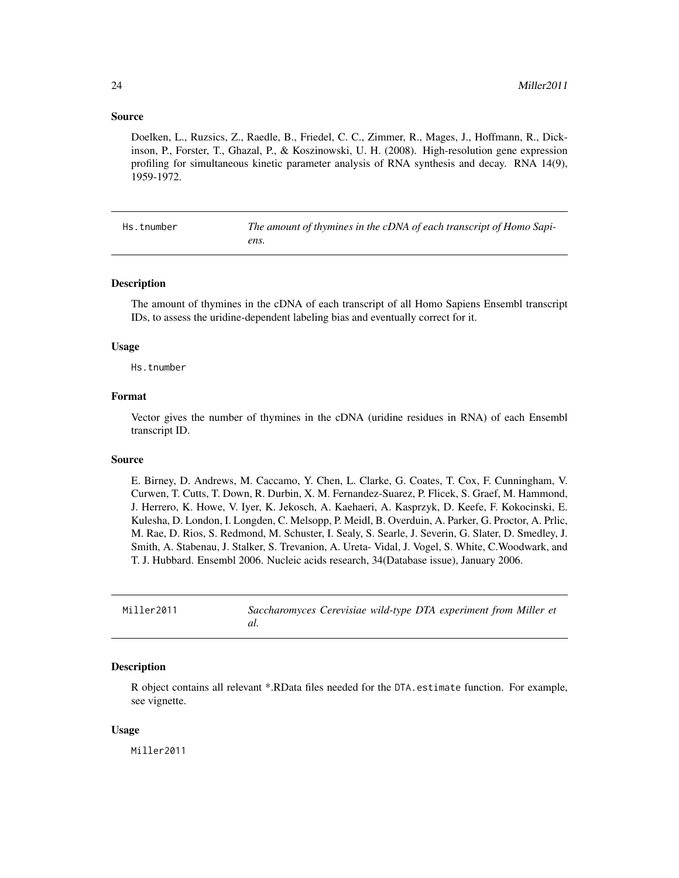## <span id="page-23-0"></span>Source

Doelken, L., Ruzsics, Z., Raedle, B., Friedel, C. C., Zimmer, R., Mages, J., Hoffmann, R., Dickinson, P., Forster, T., Ghazal, P., & Koszinowski, U. H. (2008). High-resolution gene expression profiling for simultaneous kinetic parameter analysis of RNA synthesis and decay. RNA 14(9), 1959-1972.

Hs.tnumber *The amount of thymines in the cDNA of each transcript of Homo Sapiens.*

#### Description

The amount of thymines in the cDNA of each transcript of all Homo Sapiens Ensembl transcript IDs, to assess the uridine-dependent labeling bias and eventually correct for it.

#### Usage

Hs.tnumber

# Format

Vector gives the number of thymines in the cDNA (uridine residues in RNA) of each Ensembl transcript ID.

#### Source

E. Birney, D. Andrews, M. Caccamo, Y. Chen, L. Clarke, G. Coates, T. Cox, F. Cunningham, V. Curwen, T. Cutts, T. Down, R. Durbin, X. M. Fernandez-Suarez, P. Flicek, S. Graef, M. Hammond, J. Herrero, K. Howe, V. Iyer, K. Jekosch, A. Kaehaeri, A. Kasprzyk, D. Keefe, F. Kokocinski, E. Kulesha, D. London, I. Longden, C. Melsopp, P. Meidl, B. Overduin, A. Parker, G. Proctor, A. Prlic, M. Rae, D. Rios, S. Redmond, M. Schuster, I. Sealy, S. Searle, J. Severin, G. Slater, D. Smedley, J. Smith, A. Stabenau, J. Stalker, S. Trevanion, A. Ureta- Vidal, J. Vogel, S. White, C.Woodwark, and T. J. Hubbard. Ensembl 2006. Nucleic acids research, 34(Database issue), January 2006.

Miller2011 *Saccharomyces Cerevisiae wild-type DTA experiment from Miller et al.*

# **Description**

R object contains all relevant \*.RData files needed for the DTA.estimate function. For example, see vignette.

#### Usage

Miller2011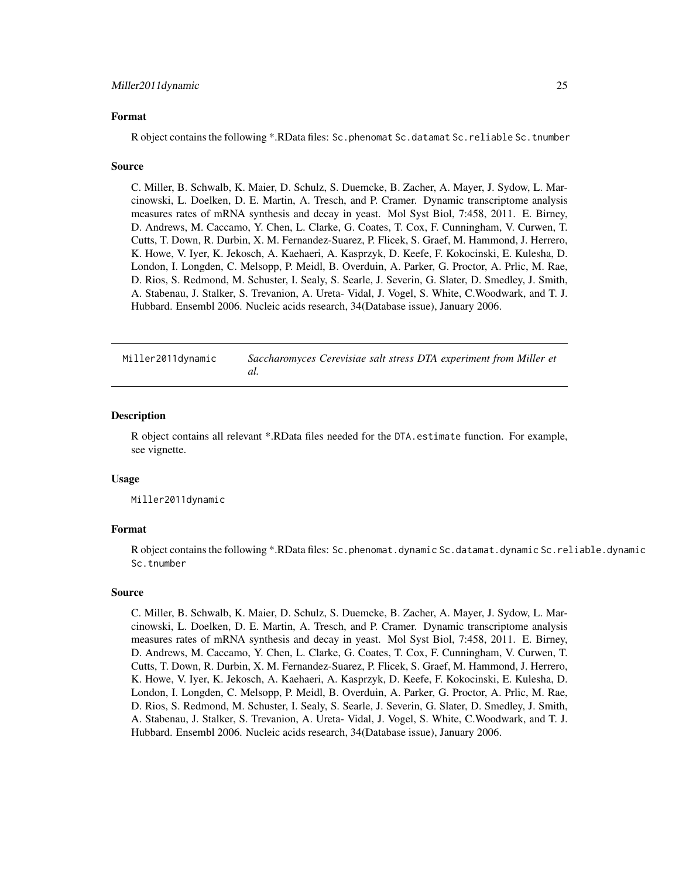#### <span id="page-24-0"></span>Format

R object contains the following \*.RData files: Sc.phenomat Sc.datamat Sc.reliable Sc.tnumber

#### Source

C. Miller, B. Schwalb, K. Maier, D. Schulz, S. Duemcke, B. Zacher, A. Mayer, J. Sydow, L. Marcinowski, L. Doelken, D. E. Martin, A. Tresch, and P. Cramer. Dynamic transcriptome analysis measures rates of mRNA synthesis and decay in yeast. Mol Syst Biol, 7:458, 2011. E. Birney, D. Andrews, M. Caccamo, Y. Chen, L. Clarke, G. Coates, T. Cox, F. Cunningham, V. Curwen, T. Cutts, T. Down, R. Durbin, X. M. Fernandez-Suarez, P. Flicek, S. Graef, M. Hammond, J. Herrero, K. Howe, V. Iyer, K. Jekosch, A. Kaehaeri, A. Kasprzyk, D. Keefe, F. Kokocinski, E. Kulesha, D. London, I. Longden, C. Melsopp, P. Meidl, B. Overduin, A. Parker, G. Proctor, A. Prlic, M. Rae, D. Rios, S. Redmond, M. Schuster, I. Sealy, S. Searle, J. Severin, G. Slater, D. Smedley, J. Smith, A. Stabenau, J. Stalker, S. Trevanion, A. Ureta- Vidal, J. Vogel, S. White, C.Woodwark, and T. J. Hubbard. Ensembl 2006. Nucleic acids research, 34(Database issue), January 2006.

Miller2011dynamic *Saccharomyces Cerevisiae salt stress DTA experiment from Miller et al.*

#### Description

R object contains all relevant \*.RData files needed for the DTA.estimate function. For example, see vignette.

#### Usage

Miller2011dynamic

#### Format

R object contains the following \*.RData files: Sc.phenomat.dynamic Sc.datamat.dynamic Sc.reliable.dynamic Sc.tnumber

#### Source

C. Miller, B. Schwalb, K. Maier, D. Schulz, S. Duemcke, B. Zacher, A. Mayer, J. Sydow, L. Marcinowski, L. Doelken, D. E. Martin, A. Tresch, and P. Cramer. Dynamic transcriptome analysis measures rates of mRNA synthesis and decay in yeast. Mol Syst Biol, 7:458, 2011. E. Birney, D. Andrews, M. Caccamo, Y. Chen, L. Clarke, G. Coates, T. Cox, F. Cunningham, V. Curwen, T. Cutts, T. Down, R. Durbin, X. M. Fernandez-Suarez, P. Flicek, S. Graef, M. Hammond, J. Herrero, K. Howe, V. Iyer, K. Jekosch, A. Kaehaeri, A. Kasprzyk, D. Keefe, F. Kokocinski, E. Kulesha, D. London, I. Longden, C. Melsopp, P. Meidl, B. Overduin, A. Parker, G. Proctor, A. Prlic, M. Rae, D. Rios, S. Redmond, M. Schuster, I. Sealy, S. Searle, J. Severin, G. Slater, D. Smedley, J. Smith, A. Stabenau, J. Stalker, S. Trevanion, A. Ureta- Vidal, J. Vogel, S. White, C.Woodwark, and T. J. Hubbard. Ensembl 2006. Nucleic acids research, 34(Database issue), January 2006.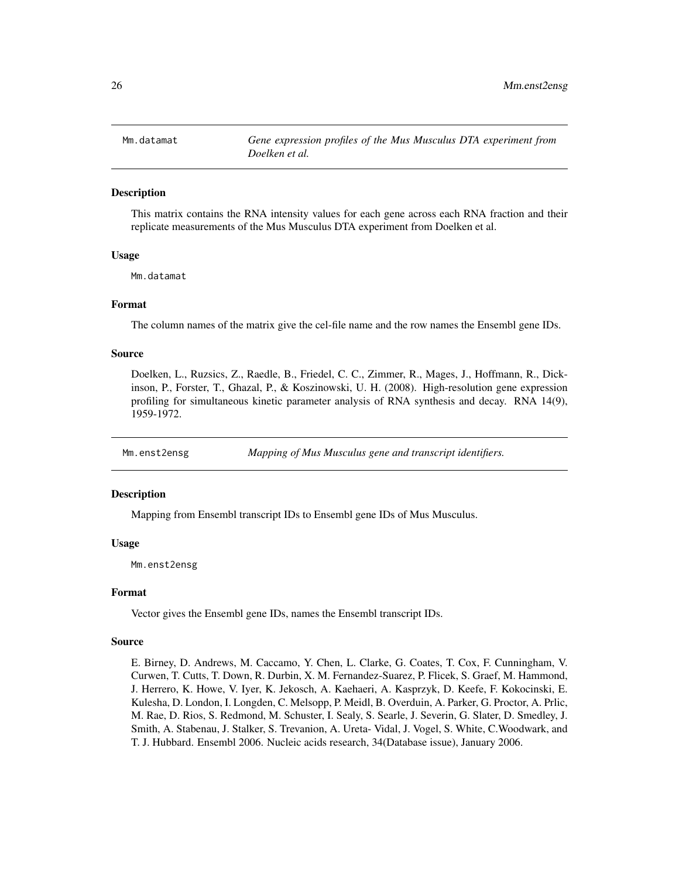<span id="page-25-0"></span>

This matrix contains the RNA intensity values for each gene across each RNA fraction and their replicate measurements of the Mus Musculus DTA experiment from Doelken et al.

# Usage

Mm.datamat

# Format

The column names of the matrix give the cel-file name and the row names the Ensembl gene IDs.

# Source

Doelken, L., Ruzsics, Z., Raedle, B., Friedel, C. C., Zimmer, R., Mages, J., Hoffmann, R., Dickinson, P., Forster, T., Ghazal, P., & Koszinowski, U. H. (2008). High-resolution gene expression profiling for simultaneous kinetic parameter analysis of RNA synthesis and decay. RNA 14(9), 1959-1972.

Mm.enst2ensg *Mapping of Mus Musculus gene and transcript identifiers.*

# **Description**

Mapping from Ensembl transcript IDs to Ensembl gene IDs of Mus Musculus.

#### Usage

Mm.enst2ensg

# Format

Vector gives the Ensembl gene IDs, names the Ensembl transcript IDs.

#### Source

E. Birney, D. Andrews, M. Caccamo, Y. Chen, L. Clarke, G. Coates, T. Cox, F. Cunningham, V. Curwen, T. Cutts, T. Down, R. Durbin, X. M. Fernandez-Suarez, P. Flicek, S. Graef, M. Hammond, J. Herrero, K. Howe, V. Iyer, K. Jekosch, A. Kaehaeri, A. Kasprzyk, D. Keefe, F. Kokocinski, E. Kulesha, D. London, I. Longden, C. Melsopp, P. Meidl, B. Overduin, A. Parker, G. Proctor, A. Prlic, M. Rae, D. Rios, S. Redmond, M. Schuster, I. Sealy, S. Searle, J. Severin, G. Slater, D. Smedley, J. Smith, A. Stabenau, J. Stalker, S. Trevanion, A. Ureta- Vidal, J. Vogel, S. White, C.Woodwark, and T. J. Hubbard. Ensembl 2006. Nucleic acids research, 34(Database issue), January 2006.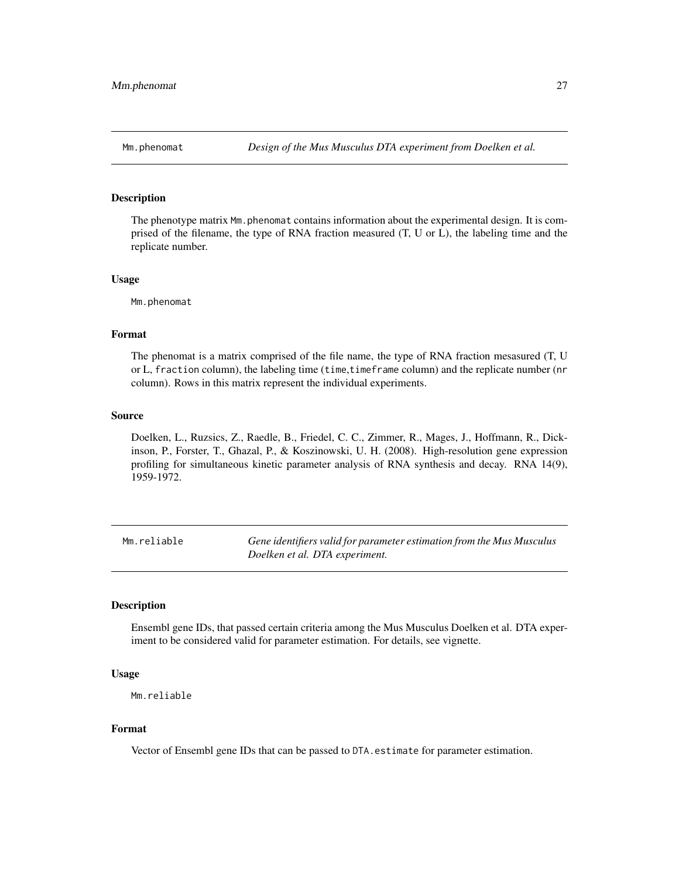<span id="page-26-0"></span>The phenotype matrix Mm.phenomat contains information about the experimental design. It is comprised of the filename, the type of RNA fraction measured (T, U or L), the labeling time and the replicate number.

#### Usage

Mm.phenomat

# Format

The phenomat is a matrix comprised of the file name, the type of RNA fraction mesasured (T, U or L, fraction column), the labeling time (time,timeframe column) and the replicate number (nr column). Rows in this matrix represent the individual experiments.

#### Source

Doelken, L., Ruzsics, Z., Raedle, B., Friedel, C. C., Zimmer, R., Mages, J., Hoffmann, R., Dickinson, P., Forster, T., Ghazal, P., & Koszinowski, U. H. (2008). High-resolution gene expression profiling for simultaneous kinetic parameter analysis of RNA synthesis and decay. RNA 14(9), 1959-1972.

Mm.reliable *Gene identifiers valid for parameter estimation from the Mus Musculus Doelken et al. DTA experiment.*

#### Description

Ensembl gene IDs, that passed certain criteria among the Mus Musculus Doelken et al. DTA experiment to be considered valid for parameter estimation. For details, see vignette.

# Usage

```
Mm.reliable
```
#### Format

Vector of Ensembl gene IDs that can be passed to DTA.estimate for parameter estimation.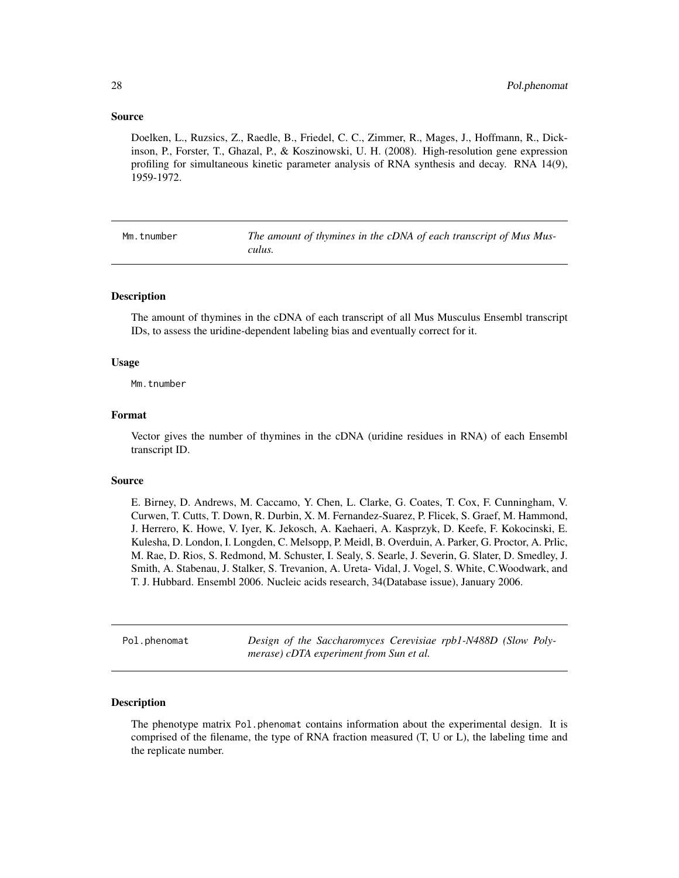#### <span id="page-27-0"></span>Source

Doelken, L., Ruzsics, Z., Raedle, B., Friedel, C. C., Zimmer, R., Mages, J., Hoffmann, R., Dickinson, P., Forster, T., Ghazal, P., & Koszinowski, U. H. (2008). High-resolution gene expression profiling for simultaneous kinetic parameter analysis of RNA synthesis and decay. RNA 14(9), 1959-1972.

| Mm.tnumber | The amount of thymines in the cDNA of each transcript of Mus Mus- |
|------------|-------------------------------------------------------------------|
|            | culus.                                                            |

#### Description

The amount of thymines in the cDNA of each transcript of all Mus Musculus Ensembl transcript IDs, to assess the uridine-dependent labeling bias and eventually correct for it.

#### Usage

Mm.tnumber

#### Format

Vector gives the number of thymines in the cDNA (uridine residues in RNA) of each Ensembl transcript ID.

# Source

E. Birney, D. Andrews, M. Caccamo, Y. Chen, L. Clarke, G. Coates, T. Cox, F. Cunningham, V. Curwen, T. Cutts, T. Down, R. Durbin, X. M. Fernandez-Suarez, P. Flicek, S. Graef, M. Hammond, J. Herrero, K. Howe, V. Iyer, K. Jekosch, A. Kaehaeri, A. Kasprzyk, D. Keefe, F. Kokocinski, E. Kulesha, D. London, I. Longden, C. Melsopp, P. Meidl, B. Overduin, A. Parker, G. Proctor, A. Prlic, M. Rae, D. Rios, S. Redmond, M. Schuster, I. Sealy, S. Searle, J. Severin, G. Slater, D. Smedley, J. Smith, A. Stabenau, J. Stalker, S. Trevanion, A. Ureta- Vidal, J. Vogel, S. White, C.Woodwark, and T. J. Hubbard. Ensembl 2006. Nucleic acids research, 34(Database issue), January 2006.

Pol.phenomat *Design of the Saccharomyces Cerevisiae rpb1-N488D (Slow Polymerase) cDTA experiment from Sun et al.*

#### **Description**

The phenotype matrix Pol.phenomat contains information about the experimental design. It is comprised of the filename, the type of RNA fraction measured (T, U or L), the labeling time and the replicate number.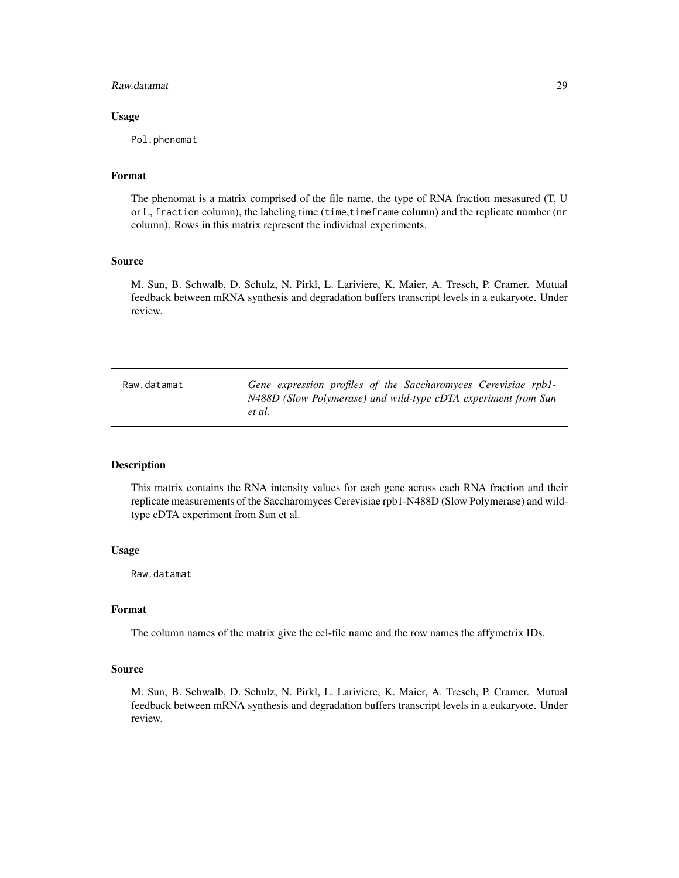#### <span id="page-28-0"></span>Raw.datamat 29

#### Usage

Pol.phenomat

# Format

The phenomat is a matrix comprised of the file name, the type of RNA fraction mesasured (T, U or L, fraction column), the labeling time (time,timeframe column) and the replicate number (nr column). Rows in this matrix represent the individual experiments.

# Source

M. Sun, B. Schwalb, D. Schulz, N. Pirkl, L. Lariviere, K. Maier, A. Tresch, P. Cramer. Mutual feedback between mRNA synthesis and degradation buffers transcript levels in a eukaryote. Under review.

| Raw.datamat | Gene expression profiles of the Saccharomyces Cerevisiae rpb1- |
|-------------|----------------------------------------------------------------|
|             | N488D (Slow Polymerase) and wild-type cDTA experiment from Sun |
|             | et al.                                                         |

#### Description

This matrix contains the RNA intensity values for each gene across each RNA fraction and their replicate measurements of the Saccharomyces Cerevisiae rpb1-N488D (Slow Polymerase) and wildtype cDTA experiment from Sun et al.

#### Usage

Raw.datamat

# Format

The column names of the matrix give the cel-file name and the row names the affymetrix IDs.

#### Source

M. Sun, B. Schwalb, D. Schulz, N. Pirkl, L. Lariviere, K. Maier, A. Tresch, P. Cramer. Mutual feedback between mRNA synthesis and degradation buffers transcript levels in a eukaryote. Under review.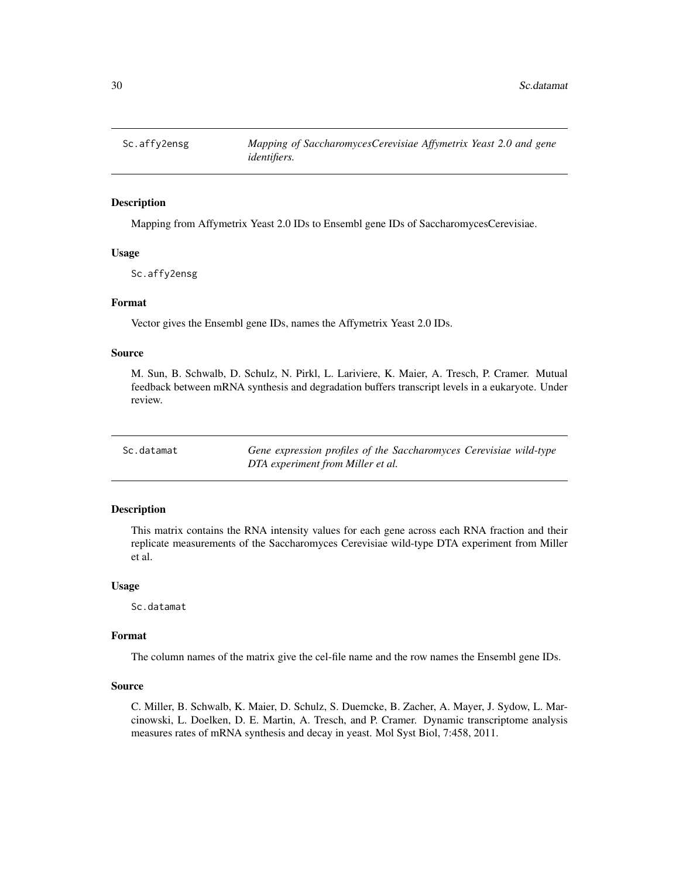<span id="page-29-0"></span>

Mapping from Affymetrix Yeast 2.0 IDs to Ensembl gene IDs of SaccharomycesCerevisiae.

#### Usage

Sc.affy2ensg

# Format

Vector gives the Ensembl gene IDs, names the Affymetrix Yeast 2.0 IDs.

# Source

M. Sun, B. Schwalb, D. Schulz, N. Pirkl, L. Lariviere, K. Maier, A. Tresch, P. Cramer. Mutual feedback between mRNA synthesis and degradation buffers transcript levels in a eukaryote. Under review.

Sc.datamat *Gene expression profiles of the Saccharomyces Cerevisiae wild-type DTA experiment from Miller et al.*

#### Description

This matrix contains the RNA intensity values for each gene across each RNA fraction and their replicate measurements of the Saccharomyces Cerevisiae wild-type DTA experiment from Miller et al.

#### Usage

Sc.datamat

## Format

The column names of the matrix give the cel-file name and the row names the Ensembl gene IDs.

#### Source

C. Miller, B. Schwalb, K. Maier, D. Schulz, S. Duemcke, B. Zacher, A. Mayer, J. Sydow, L. Marcinowski, L. Doelken, D. E. Martin, A. Tresch, and P. Cramer. Dynamic transcriptome analysis measures rates of mRNA synthesis and decay in yeast. Mol Syst Biol, 7:458, 2011.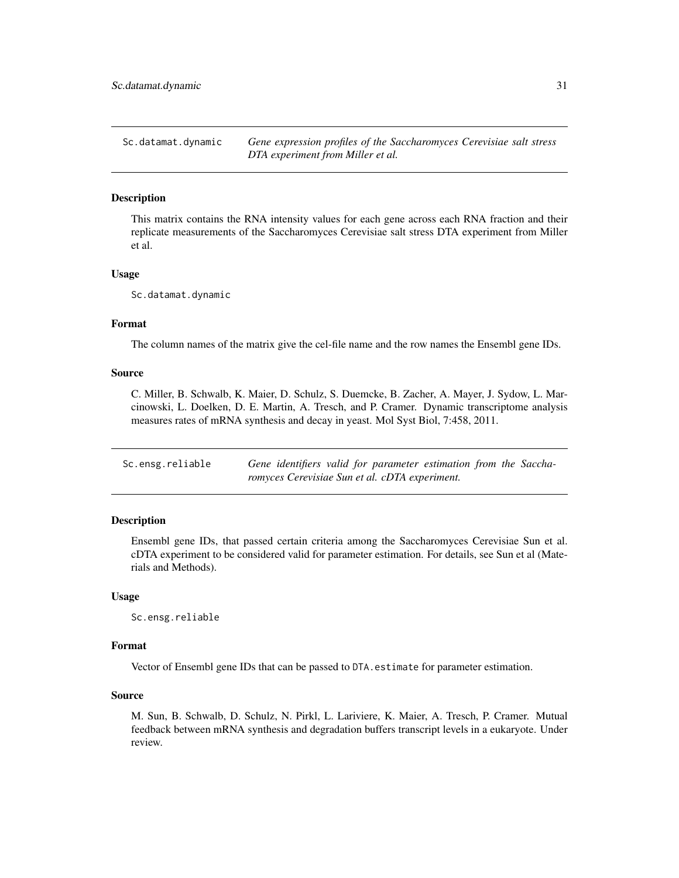<span id="page-30-0"></span>Sc.datamat.dynamic *Gene expression profiles of the Saccharomyces Cerevisiae salt stress DTA experiment from Miller et al.*

# Description

This matrix contains the RNA intensity values for each gene across each RNA fraction and their replicate measurements of the Saccharomyces Cerevisiae salt stress DTA experiment from Miller et al.

#### Usage

Sc.datamat.dynamic

# Format

The column names of the matrix give the cel-file name and the row names the Ensembl gene IDs.

# Source

C. Miller, B. Schwalb, K. Maier, D. Schulz, S. Duemcke, B. Zacher, A. Mayer, J. Sydow, L. Marcinowski, L. Doelken, D. E. Martin, A. Tresch, and P. Cramer. Dynamic transcriptome analysis measures rates of mRNA synthesis and decay in yeast. Mol Syst Biol, 7:458, 2011.

| Sc.ensg.reliable |  |  |                                                | Gene identifiers valid for parameter estimation from the Saccha- |  |  |
|------------------|--|--|------------------------------------------------|------------------------------------------------------------------|--|--|
|                  |  |  | romyces Cerevisiae Sun et al. cDTA experiment. |                                                                  |  |  |

# Description

Ensembl gene IDs, that passed certain criteria among the Saccharomyces Cerevisiae Sun et al. cDTA experiment to be considered valid for parameter estimation. For details, see Sun et al (Materials and Methods).

#### Usage

Sc.ensg.reliable

#### Format

Vector of Ensembl gene IDs that can be passed to DTA.estimate for parameter estimation.

#### Source

M. Sun, B. Schwalb, D. Schulz, N. Pirkl, L. Lariviere, K. Maier, A. Tresch, P. Cramer. Mutual feedback between mRNA synthesis and degradation buffers transcript levels in a eukaryote. Under review.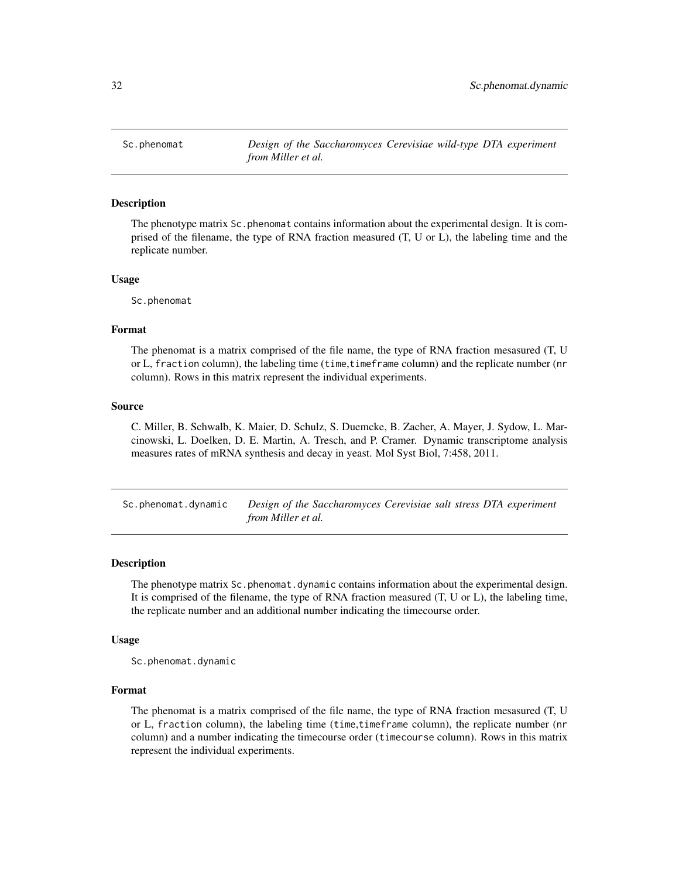<span id="page-31-0"></span>Sc.phenomat *Design of the Saccharomyces Cerevisiae wild-type DTA experiment from Miller et al.*

#### Description

The phenotype matrix Sc.phenomat contains information about the experimental design. It is comprised of the filename, the type of RNA fraction measured (T, U or L), the labeling time and the replicate number.

#### Usage

Sc.phenomat

#### Format

The phenomat is a matrix comprised of the file name, the type of RNA fraction mesasured (T, U or L, fraction column), the labeling time (time,timeframe column) and the replicate number (nr column). Rows in this matrix represent the individual experiments.

#### Source

C. Miller, B. Schwalb, K. Maier, D. Schulz, S. Duemcke, B. Zacher, A. Mayer, J. Sydow, L. Marcinowski, L. Doelken, D. E. Martin, A. Tresch, and P. Cramer. Dynamic transcriptome analysis measures rates of mRNA synthesis and decay in yeast. Mol Syst Biol, 7:458, 2011.

Sc.phenomat.dynamic *Design of the Saccharomyces Cerevisiae salt stress DTA experiment from Miller et al.*

#### Description

The phenotype matrix Sc.phenomat.dynamic contains information about the experimental design. It is comprised of the filename, the type of RNA fraction measured (T, U or L), the labeling time, the replicate number and an additional number indicating the timecourse order.

# Usage

Sc.phenomat.dynamic

#### Format

The phenomat is a matrix comprised of the file name, the type of RNA fraction mesasured (T, U or L, fraction column), the labeling time (time,timeframe column), the replicate number (nr column) and a number indicating the timecourse order (timecourse column). Rows in this matrix represent the individual experiments.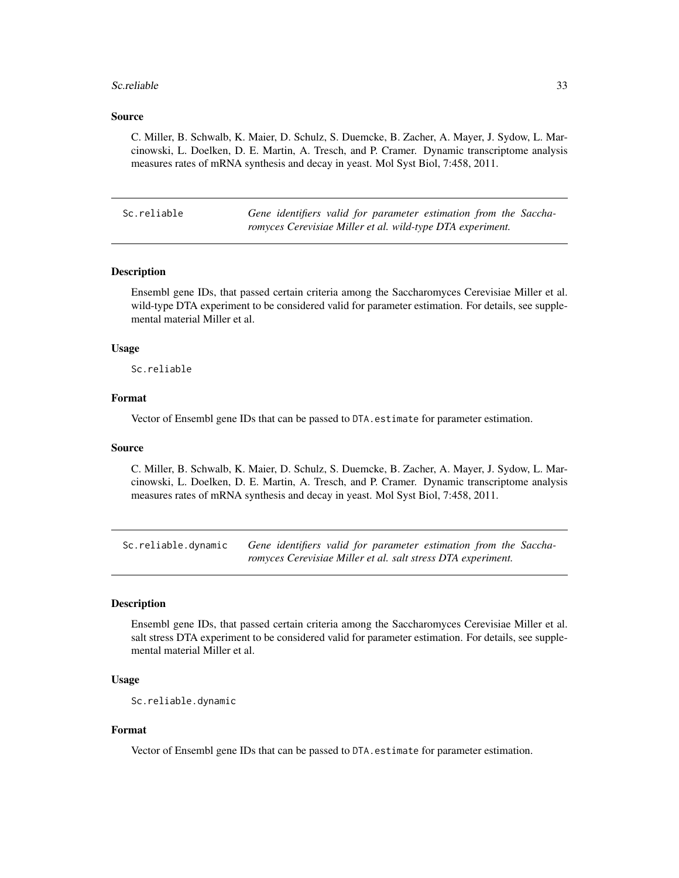#### <span id="page-32-0"></span>Sc.reliable 33

#### Source

C. Miller, B. Schwalb, K. Maier, D. Schulz, S. Duemcke, B. Zacher, A. Mayer, J. Sydow, L. Marcinowski, L. Doelken, D. E. Martin, A. Tresch, and P. Cramer. Dynamic transcriptome analysis measures rates of mRNA synthesis and decay in yeast. Mol Syst Biol, 7:458, 2011.

|  | Sc.reliable |  |  |  |  |
|--|-------------|--|--|--|--|
|  |             |  |  |  |  |

Gene identifiers valid for parameter estimation from the Saccha*romyces Cerevisiae Miller et al. wild-type DTA experiment.*

# Description

Ensembl gene IDs, that passed certain criteria among the Saccharomyces Cerevisiae Miller et al. wild-type DTA experiment to be considered valid for parameter estimation. For details, see supplemental material Miller et al.

## Usage

Sc.reliable

#### Format

Vector of Ensembl gene IDs that can be passed to DTA.estimate for parameter estimation.

#### Source

C. Miller, B. Schwalb, K. Maier, D. Schulz, S. Duemcke, B. Zacher, A. Mayer, J. Sydow, L. Marcinowski, L. Doelken, D. E. Martin, A. Tresch, and P. Cramer. Dynamic transcriptome analysis measures rates of mRNA synthesis and decay in yeast. Mol Syst Biol, 7:458, 2011.

Sc.reliable.dynamic *Gene identifiers valid for parameter estimation from the Saccharomyces Cerevisiae Miller et al. salt stress DTA experiment.*

# Description

Ensembl gene IDs, that passed certain criteria among the Saccharomyces Cerevisiae Miller et al. salt stress DTA experiment to be considered valid for parameter estimation. For details, see supplemental material Miller et al.

# Usage

```
Sc.reliable.dynamic
```
#### Format

Vector of Ensembl gene IDs that can be passed to DTA.estimate for parameter estimation.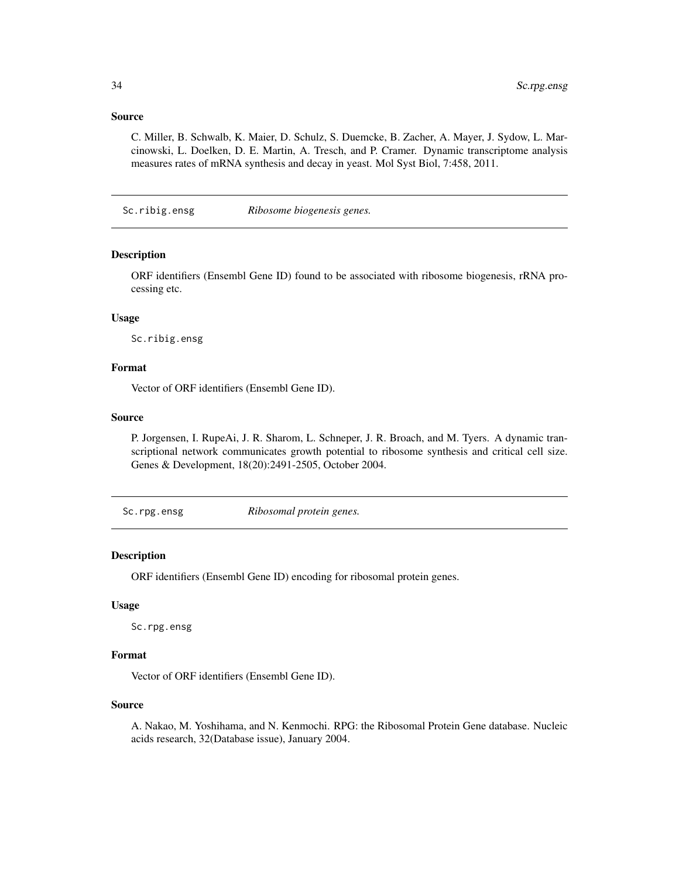## <span id="page-33-0"></span>Source

C. Miller, B. Schwalb, K. Maier, D. Schulz, S. Duemcke, B. Zacher, A. Mayer, J. Sydow, L. Marcinowski, L. Doelken, D. E. Martin, A. Tresch, and P. Cramer. Dynamic transcriptome analysis measures rates of mRNA synthesis and decay in yeast. Mol Syst Biol, 7:458, 2011.

Sc.ribig.ensg *Ribosome biogenesis genes.*

# Description

ORF identifiers (Ensembl Gene ID) found to be associated with ribosome biogenesis, rRNA processing etc.

#### Usage

Sc.ribig.ensg

#### Format

Vector of ORF identifiers (Ensembl Gene ID).

#### Source

P. Jorgensen, I. RupeAi, J. R. Sharom, L. Schneper, J. R. Broach, and M. Tyers. A dynamic transcriptional network communicates growth potential to ribosome synthesis and critical cell size. Genes & Development, 18(20):2491-2505, October 2004.

Sc.rpg.ensg *Ribosomal protein genes.*

# **Description**

ORF identifiers (Ensembl Gene ID) encoding for ribosomal protein genes.

#### Usage

Sc.rpg.ensg

# Format

Vector of ORF identifiers (Ensembl Gene ID).

#### Source

A. Nakao, M. Yoshihama, and N. Kenmochi. RPG: the Ribosomal Protein Gene database. Nucleic acids research, 32(Database issue), January 2004.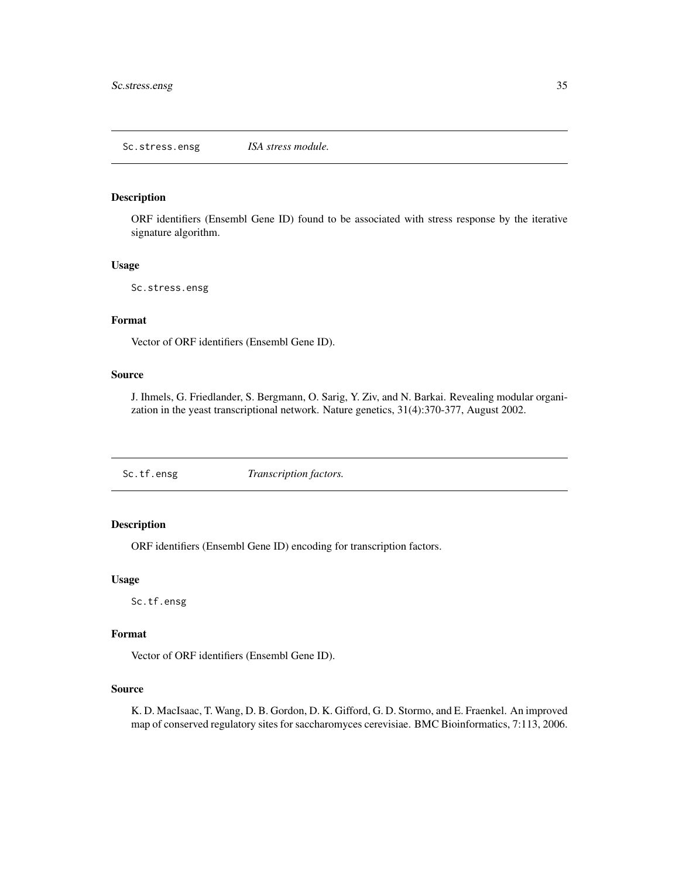<span id="page-34-0"></span>ORF identifiers (Ensembl Gene ID) found to be associated with stress response by the iterative signature algorithm.

#### Usage

```
Sc.stress.ensg
```
# Format

Vector of ORF identifiers (Ensembl Gene ID).

#### Source

J. Ihmels, G. Friedlander, S. Bergmann, O. Sarig, Y. Ziv, and N. Barkai. Revealing modular organization in the yeast transcriptional network. Nature genetics, 31(4):370-377, August 2002.

Sc.tf.ensg *Transcription factors.*

# Description

ORF identifiers (Ensembl Gene ID) encoding for transcription factors.

#### Usage

Sc.tf.ensg

# Format

Vector of ORF identifiers (Ensembl Gene ID).

# Source

K. D. MacIsaac, T. Wang, D. B. Gordon, D. K. Gifford, G. D. Stormo, and E. Fraenkel. An improved map of conserved regulatory sites for saccharomyces cerevisiae. BMC Bioinformatics, 7:113, 2006.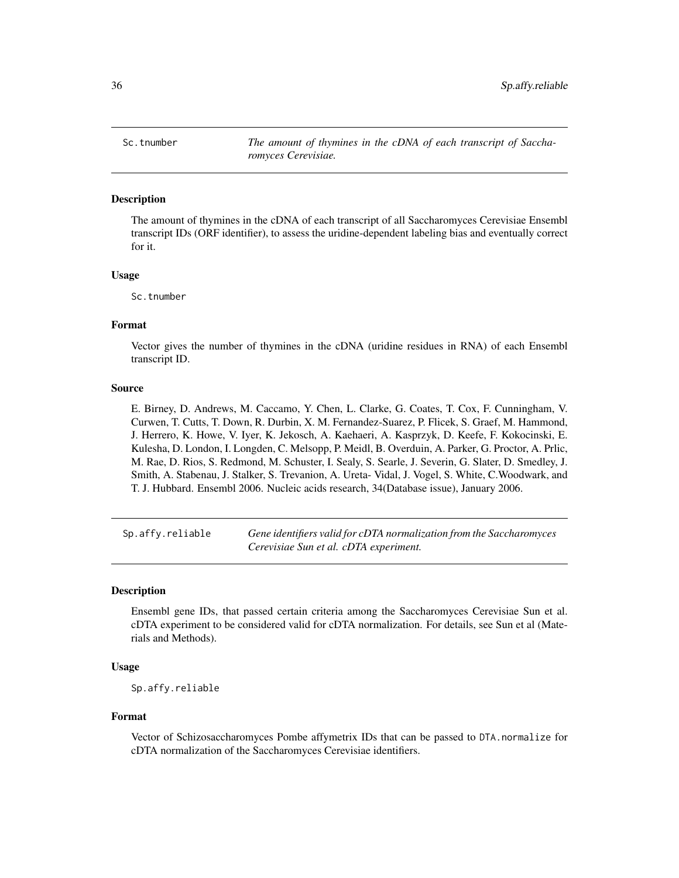<span id="page-35-0"></span>Sc.tnumber *The amount of thymines in the cDNA of each transcript of Saccharomyces Cerevisiae.*

# Description

The amount of thymines in the cDNA of each transcript of all Saccharomyces Cerevisiae Ensembl transcript IDs (ORF identifier), to assess the uridine-dependent labeling bias and eventually correct for it.

#### Usage

Sc.tnumber

#### Format

Vector gives the number of thymines in the cDNA (uridine residues in RNA) of each Ensembl transcript ID.

#### Source

E. Birney, D. Andrews, M. Caccamo, Y. Chen, L. Clarke, G. Coates, T. Cox, F. Cunningham, V. Curwen, T. Cutts, T. Down, R. Durbin, X. M. Fernandez-Suarez, P. Flicek, S. Graef, M. Hammond, J. Herrero, K. Howe, V. Iyer, K. Jekosch, A. Kaehaeri, A. Kasprzyk, D. Keefe, F. Kokocinski, E. Kulesha, D. London, I. Longden, C. Melsopp, P. Meidl, B. Overduin, A. Parker, G. Proctor, A. Prlic, M. Rae, D. Rios, S. Redmond, M. Schuster, I. Sealy, S. Searle, J. Severin, G. Slater, D. Smedley, J. Smith, A. Stabenau, J. Stalker, S. Trevanion, A. Ureta- Vidal, J. Vogel, S. White, C.Woodwark, and T. J. Hubbard. Ensembl 2006. Nucleic acids research, 34(Database issue), January 2006.

Sp.affy.reliable *Gene identifiers valid for cDTA normalization from the Saccharomyces Cerevisiae Sun et al. cDTA experiment.*

#### Description

Ensembl gene IDs, that passed certain criteria among the Saccharomyces Cerevisiae Sun et al. cDTA experiment to be considered valid for cDTA normalization. For details, see Sun et al (Materials and Methods).

# Usage

Sp.affy.reliable

#### Format

Vector of Schizosaccharomyces Pombe affymetrix IDs that can be passed to DTA.normalize for cDTA normalization of the Saccharomyces Cerevisiae identifiers.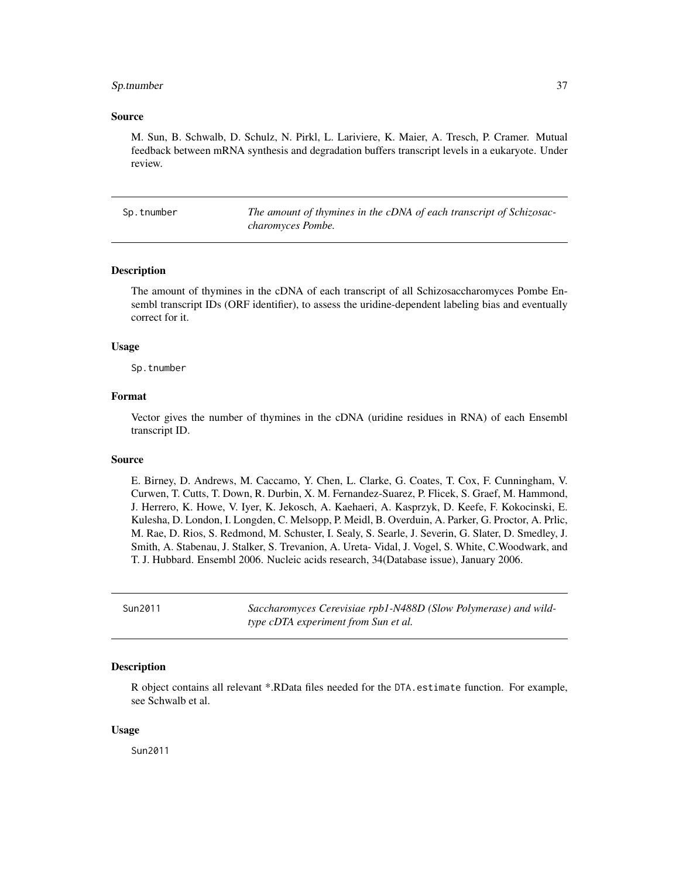#### <span id="page-36-0"></span>Sp.tnumber 37

## Source

M. Sun, B. Schwalb, D. Schulz, N. Pirkl, L. Lariviere, K. Maier, A. Tresch, P. Cramer. Mutual feedback between mRNA synthesis and degradation buffers transcript levels in a eukaryote. Under review.

Sp.tnumber *The amount of thymines in the cDNA of each transcript of Schizosaccharomyces Pombe.*

#### Description

The amount of thymines in the cDNA of each transcript of all Schizosaccharomyces Pombe Ensembl transcript IDs (ORF identifier), to assess the uridine-dependent labeling bias and eventually correct for it.

#### Usage

Sp.tnumber

# Format

Vector gives the number of thymines in the cDNA (uridine residues in RNA) of each Ensembl transcript ID.

#### Source

E. Birney, D. Andrews, M. Caccamo, Y. Chen, L. Clarke, G. Coates, T. Cox, F. Cunningham, V. Curwen, T. Cutts, T. Down, R. Durbin, X. M. Fernandez-Suarez, P. Flicek, S. Graef, M. Hammond, J. Herrero, K. Howe, V. Iyer, K. Jekosch, A. Kaehaeri, A. Kasprzyk, D. Keefe, F. Kokocinski, E. Kulesha, D. London, I. Longden, C. Melsopp, P. Meidl, B. Overduin, A. Parker, G. Proctor, A. Prlic, M. Rae, D. Rios, S. Redmond, M. Schuster, I. Sealy, S. Searle, J. Severin, G. Slater, D. Smedley, J. Smith, A. Stabenau, J. Stalker, S. Trevanion, A. Ureta- Vidal, J. Vogel, S. White, C.Woodwark, and T. J. Hubbard. Ensembl 2006. Nucleic acids research, 34(Database issue), January 2006.

Sun2011 *Saccharomyces Cerevisiae rpb1-N488D (Slow Polymerase) and wildtype cDTA experiment from Sun et al.*

#### **Description**

R object contains all relevant \*.RData files needed for the DTA.estimate function. For example, see Schwalb et al.

#### Usage

Sun2011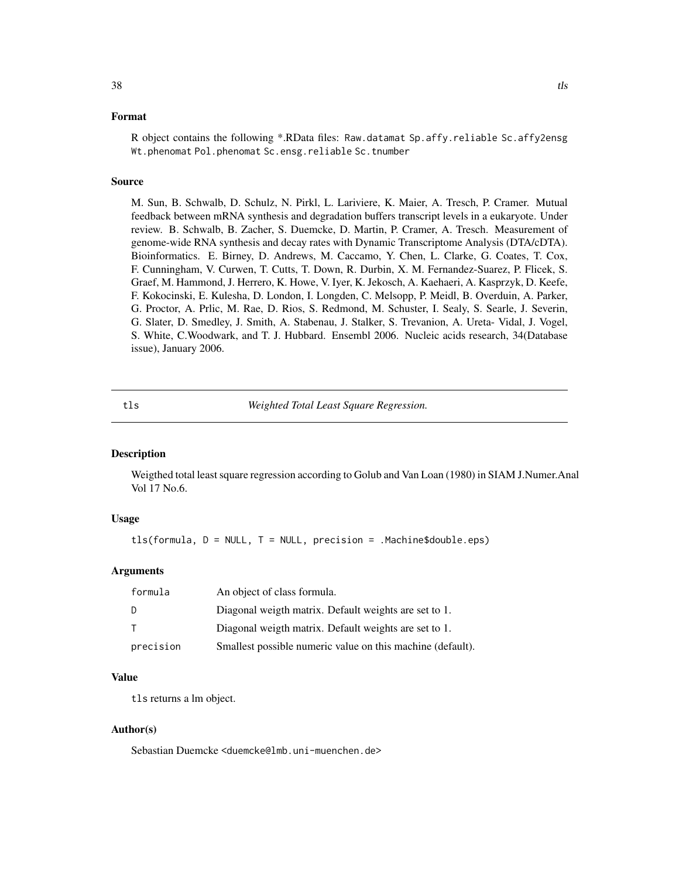# <span id="page-37-0"></span>Format

R object contains the following \*.RData files: Raw.datamat Sp.affy.reliable Sc.affy2ensg Wt.phenomat Pol.phenomat Sc.ensg.reliable Sc.tnumber

# Source

M. Sun, B. Schwalb, D. Schulz, N. Pirkl, L. Lariviere, K. Maier, A. Tresch, P. Cramer. Mutual feedback between mRNA synthesis and degradation buffers transcript levels in a eukaryote. Under review. B. Schwalb, B. Zacher, S. Duemcke, D. Martin, P. Cramer, A. Tresch. Measurement of genome-wide RNA synthesis and decay rates with Dynamic Transcriptome Analysis (DTA/cDTA). Bioinformatics. E. Birney, D. Andrews, M. Caccamo, Y. Chen, L. Clarke, G. Coates, T. Cox, F. Cunningham, V. Curwen, T. Cutts, T. Down, R. Durbin, X. M. Fernandez-Suarez, P. Flicek, S. Graef, M. Hammond, J. Herrero, K. Howe, V. Iyer, K. Jekosch, A. Kaehaeri, A. Kasprzyk, D. Keefe, F. Kokocinski, E. Kulesha, D. London, I. Longden, C. Melsopp, P. Meidl, B. Overduin, A. Parker, G. Proctor, A. Prlic, M. Rae, D. Rios, S. Redmond, M. Schuster, I. Sealy, S. Searle, J. Severin, G. Slater, D. Smedley, J. Smith, A. Stabenau, J. Stalker, S. Trevanion, A. Ureta- Vidal, J. Vogel, S. White, C.Woodwark, and T. J. Hubbard. Ensembl 2006. Nucleic acids research, 34(Database issue), January 2006.

<span id="page-37-1"></span>tls *Weighted Total Least Square Regression.*

#### **Description**

Weigthed total least square regression according to Golub and Van Loan (1980) in SIAM J.Numer.Anal Vol 17 No.6.

# Usage

 $tls(formula, D = NULL, T = NULL, precision = .Machine$double.eps)$ 

# Arguments

| formula   | An object of class formula.                                |
|-----------|------------------------------------------------------------|
| D         | Diagonal weigth matrix. Default weights are set to 1.      |
| - T       | Diagonal weigth matrix. Default weights are set to 1.      |
| precision | Smallest possible numeric value on this machine (default). |

# Value

tls returns a lm object.

#### Author(s)

Sebastian Duemcke <duemcke@lmb.uni-muenchen.de>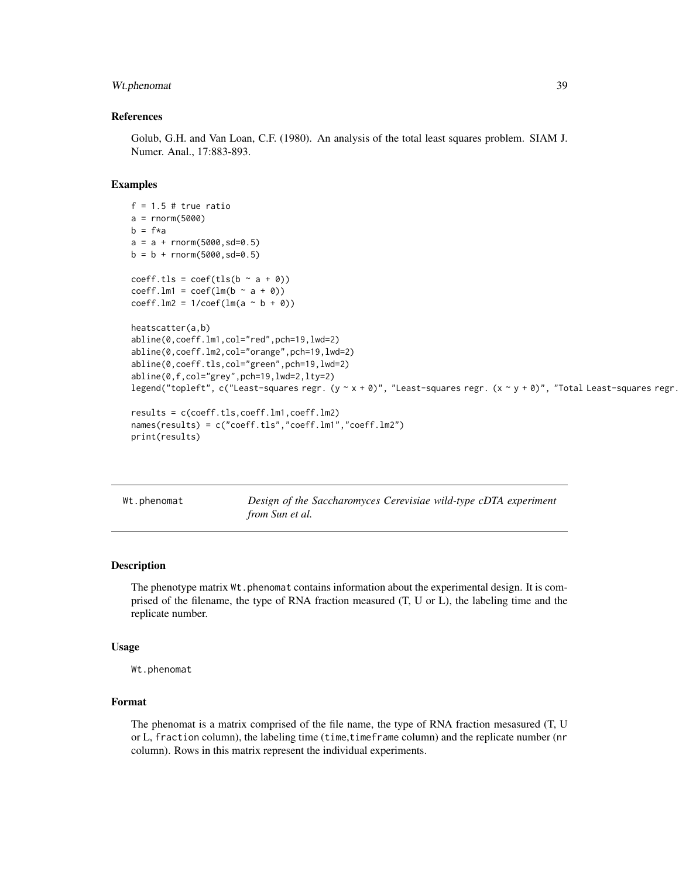# <span id="page-38-0"></span>Wt.phenomat 39

#### References

Golub, G.H. and Van Loan, C.F. (1980). An analysis of the total least squares problem. SIAM J. Numer. Anal., 17:883-893.

#### Examples

```
f = 1.5 # true ratio
a = rnorm(5000)b = f * aa = a + rnorm(5000, sd=0.5)b = b + \text{norm}(5000, sd=0.5)coeff.tls = \text{coeff}(\text{tls}(b \sim a + \emptyset))coeff.Im1 = coeff(lm(b \sim a + 0))coeff.Im2 = 1/coeff(Im(a \sim b + 0))heatscatter(a,b)
abline(0,coeff.lm1,col="red",pch=19,lwd=2)
abline(0,coeff.lm2,col="orange",pch=19,lwd=2)
abline(0,coeff.tls,col="green",pch=19,lwd=2)
abline(0,f,col="grey",pch=19,lwd=2,lty=2)
legend("topleft", c("Least-squares regr. (y ~ x + 0)", "Least-squares regr. (x ~ y + 0)", "Total Least-squares regr.
results = c(coeff.ts,coeff.lm1,coeff.lm2)names(results) = c("coeff.tls","coeff.lm1","coeff.lm2")
print(results)
```
Wt.phenomat *Design of the Saccharomyces Cerevisiae wild-type cDTA experiment from Sun et al.*

# Description

The phenotype matrix  $Wt$ . phenomat contains information about the experimental design. It is comprised of the filename, the type of RNA fraction measured (T, U or L), the labeling time and the replicate number.

#### Usage

Wt.phenomat

#### Format

The phenomat is a matrix comprised of the file name, the type of RNA fraction mesasured (T, U or L, fraction column), the labeling time (time,timeframe column) and the replicate number (nr column). Rows in this matrix represent the individual experiments.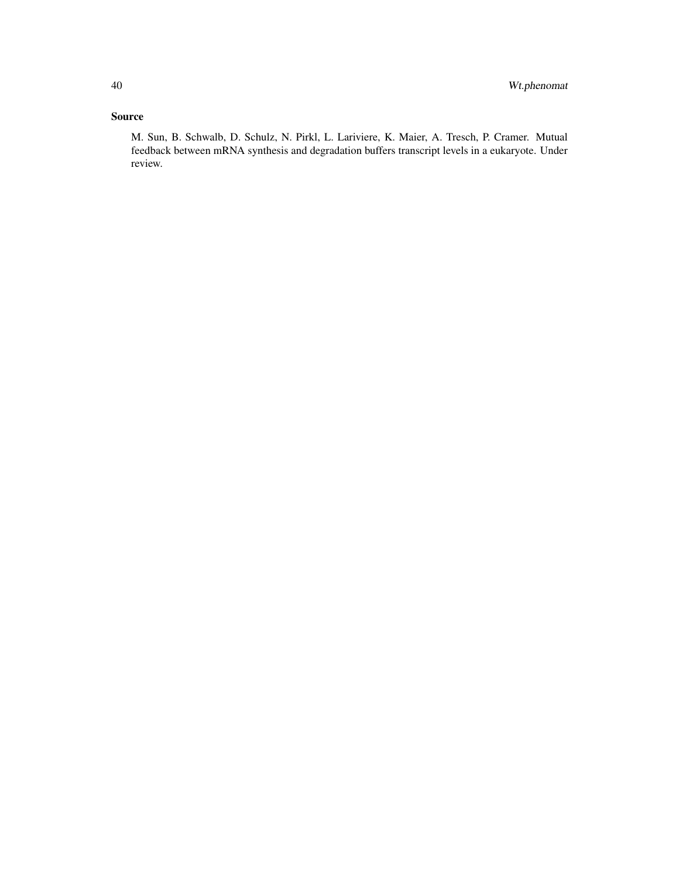# Source

M. Sun, B. Schwalb, D. Schulz, N. Pirkl, L. Lariviere, K. Maier, A. Tresch, P. Cramer. Mutual feedback between mRNA synthesis and degradation buffers transcript levels in a eukaryote. Under review.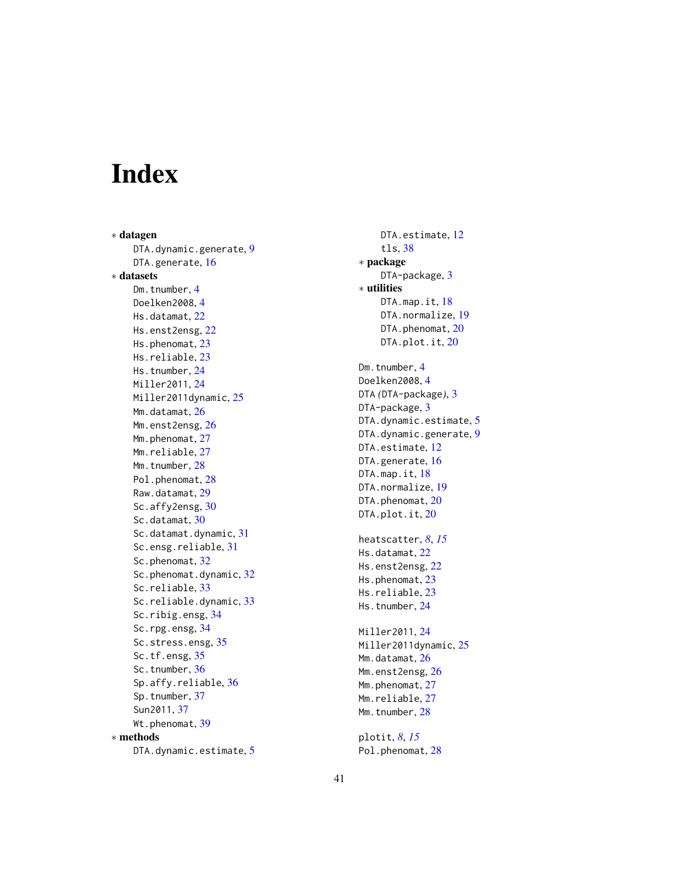# <span id="page-40-0"></span>Index

∗ datagen DTA.dynamic.generate, [9](#page-8-0) DTA.generate, [16](#page-15-0) ∗ datasets Dm.tnumber, [4](#page-3-0) Doelken2008 , [4](#page-3-0) Hs.datamat, [22](#page-21-0) Hs.enst2ensg, [22](#page-21-0) Hs.phenomat, [23](#page-22-0) Hs.reliable, [23](#page-22-0) Hs.tnumber, [24](#page-23-0) Miller2011 , [24](#page-23-0) Miller2011dynamic, [25](#page-24-0) Mm.datamat, $26$ Mm.enst2ensg, <mark>[26](#page-25-0)</mark> Mm.phenomat, [27](#page-26-0) Mm.reliable, [27](#page-26-0) Mm.tnumber, [28](#page-27-0) Pol.phenomat, [28](#page-27-0) Raw.datamat , [29](#page-28-0) Sc.affy2ensg, [30](#page-29-0) Sc.datamat, [30](#page-29-0) Sc.datamat.dynamic, [31](#page-30-0) Sc.ensg.reliable , [31](#page-30-0) Sc.phenomat, [32](#page-31-0) Sc.phenomat.dynamic, [32](#page-31-0) Sc.reliable, [33](#page-32-0) Sc.reliable.dynamic, [33](#page-32-0) Sc.ribig.ensg, [34](#page-33-0) Sc.rpg.ensg, [34](#page-33-0) Sc.stress.ensg, [35](#page-34-0) Sc.tf.ensg, [35](#page-34-0) Sc.tnumber, [36](#page-35-0) Sp.affy.reliable , [36](#page-35-0) Sp.tnumber , [37](#page-36-0) Sun2011 , [37](#page-36-0) Wt.phenomat, [39](#page-38-0) ∗ methods DTA.dynamic.estimate, <mark>[5](#page-4-0)</mark>

DTA.estimate, <mark>[12](#page-11-0)</mark> tls , [38](#page-37-0) ∗ package DTA-package, <mark>[3](#page-2-0)</mark> ∗ utilities DTA.map.it, [18](#page-17-0) DTA.normalize, <mark>[19](#page-18-0)</mark> DTA.phenomat, [20](#page-19-0) DTA.plot.it, [20](#page-19-0) Dm.tnumber , [4](#page-3-0) Doelken2008,[4](#page-3-0) DTA *(*DTA-package *)* , [3](#page-2-0) DTA-package, <mark>[3](#page-2-0)</mark> DTA.dynamic.estimate, [5](#page-4-0) DTA.dynamic.generate, [9](#page-8-0) DTA.estimate, [12](#page-11-0) DTA.generate, [16](#page-15-0) DTA.map.it,[18](#page-17-0) DTA.normalize, <mark>[19](#page-18-0)</mark> DTA.phenomat, [20](#page-19-0) DTA.plot.it, [20](#page-19-0) heatscatter , *[8](#page-7-0)* , *[15](#page-14-0)* Hs.datamat, $22$ Hs.enst2ensg, [22](#page-21-0) Hs.phenomat, [23](#page-22-0) Hs.reliable, [23](#page-22-0) Hs.tnumber, [24](#page-23-0) Miller2011 , [24](#page-23-0) Miller2011dynamic , [25](#page-24-0) Mm.datamat, $26$ Mm.enst2ensg, <mark>[26](#page-25-0)</mark> Mm.phenomat, [27](#page-26-0) Mm.reliable, [27](#page-26-0) Mm.tnumber, [28](#page-27-0) plotit , *[8](#page-7-0)* , *[15](#page-14-0)*

Pol.phenomat, [28](#page-27-0)